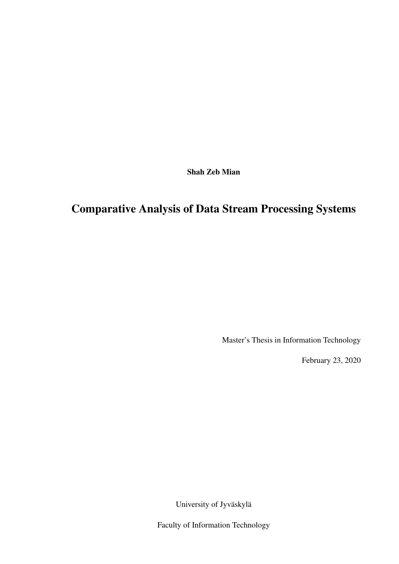Shah Zeb Mian

# Comparative Analysis of Data Stream Processing Systems

Master's Thesis in Information Technology

February 23, 2020

University of Jyväskylä

Faculty of Information Technology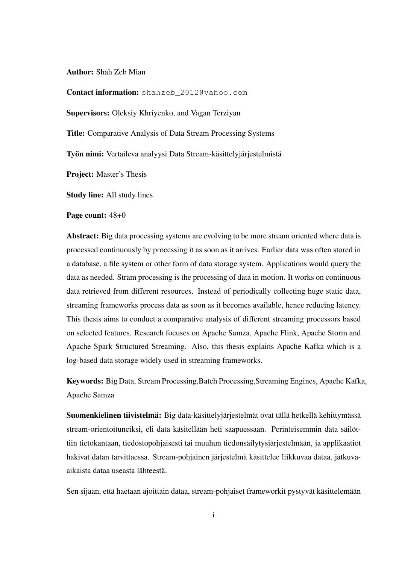#### Author: Shah Zeb Mian

Contact information: shahzeb 2012@yahoo.com

Supervisors: Oleksiy Khriyenko, and Vagan Terziyan

Title: Comparative Analysis of Data Stream Processing Systems

Työn nimi: Vertaileva analyysi Data Stream-käsittelyjärjestelmistä

Project: Master's Thesis

Study line: All study lines

Page count: 48+0

Abstract: Big data processing systems are evolving to be more stream oriented where data is processed continuously by processing it as soon as it arrives. Earlier data was often stored in a database, a file system or other form of data storage system. Applications would query the data as needed. Stram processing is the processing of data in motion. It works on continuous data retrieved from different resources. Instead of periodically collecting huge static data, streaming frameworks process data as soon as it becomes available, hence reducing latency. This thesis aims to conduct a comparative analysis of different streaming processors based on selected features. Research focuses on Apache Samza, Apache Flink, Apache Storm and Apache Spark Structured Streaming. Also, this thesis explains Apache Kafka which is a log-based data storage widely used in streaming frameworks.

Keywords: Big Data, Stream Processing,Batch Processing,Streaming Engines, Apache Kafka, Apache Samza

Suomenkielinen tiivistelmä: Big data-käsittelyjärjestelmät ovat tällä hetkellä kehittymässä stream-orientoituneiksi, eli data käsitellään heti saapuessaan. Perinteisemmin data säilöttiin tietokantaan, tiedostopohjaisesti tai muuhun tiedonsäilytysjärjestelmään, ja applikaatiot hakivat datan tarvittaessa. Stream-pohjainen järjestelmä käsittelee liikkuvaa dataa, jatkuvaaikaista dataa useasta lähteestä.

Sen sijaan, että haetaan ajoittain dataa, stream-pohjaiset frameworkit pystyvät käsittelemään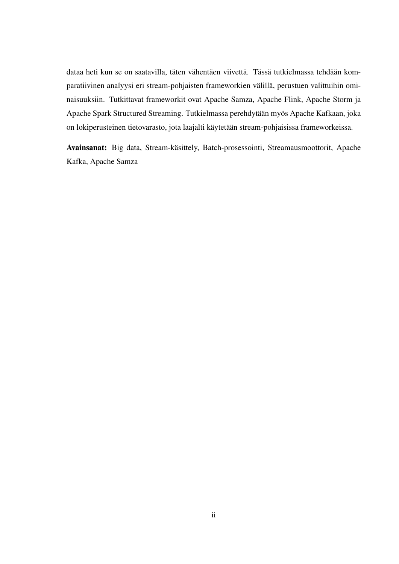dataa heti kun se on saatavilla, täten vähentäen viivettä. Tässä tutkielmassa tehdään komparatiivinen analyysi eri stream-pohjaisten frameworkien välillä, perustuen valittuihin ominaisuuksiin. Tutkittavat frameworkit ovat Apache Samza, Apache Flink, Apache Storm ja Apache Spark Structured Streaming. Tutkielmassa perehdytään myös Apache Kafkaan, joka on lokiperusteinen tietovarasto, jota laajalti käytetään stream-pohjaisissa frameworkeissa.

Avainsanat: Big data, Stream-käsittely, Batch-prosessointi, Streamausmoottorit, Apache Kafka, Apache Samza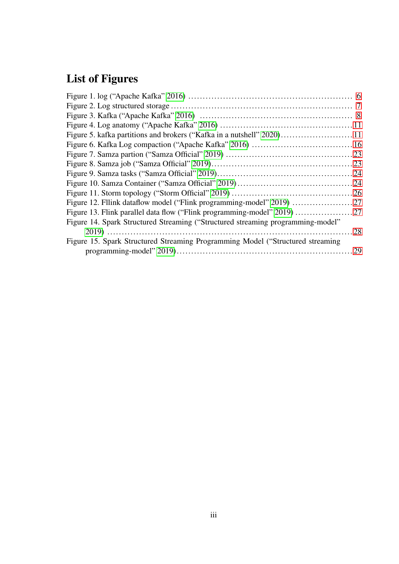# List of Figures

| Figure 14. Spark Structured Streaming ("Structured streaming programming-model" |  |
|---------------------------------------------------------------------------------|--|
|                                                                                 |  |
| Figure 15. Spark Structured Streaming Programming Model ("Structured streaming  |  |
|                                                                                 |  |
|                                                                                 |  |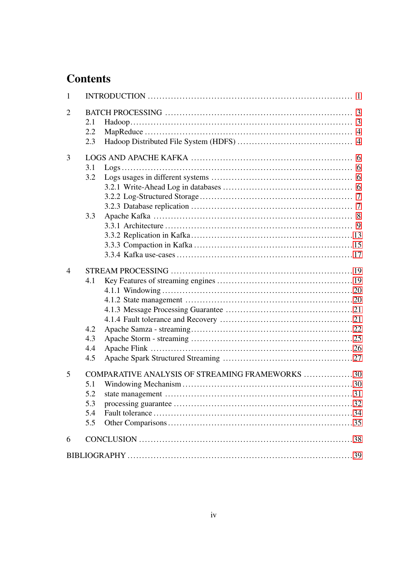# **Contents**

| 1              |                   |                                                 |  |
|----------------|-------------------|-------------------------------------------------|--|
| $\overline{2}$ | 2.1<br>2.2<br>2.3 |                                                 |  |
| 3              |                   |                                                 |  |
|                | 3.1               |                                                 |  |
|                | 3.2               |                                                 |  |
|                |                   |                                                 |  |
|                |                   |                                                 |  |
|                |                   |                                                 |  |
|                | 3.3               |                                                 |  |
|                |                   |                                                 |  |
|                |                   |                                                 |  |
|                |                   |                                                 |  |
|                |                   |                                                 |  |
| $\overline{4}$ |                   |                                                 |  |
|                | 4.1               |                                                 |  |
|                |                   |                                                 |  |
|                |                   |                                                 |  |
|                |                   |                                                 |  |
|                |                   |                                                 |  |
|                | 4.2               |                                                 |  |
|                | 4.3               |                                                 |  |
|                | 4.4               |                                                 |  |
|                | 4.5               |                                                 |  |
| 5              |                   | COMPARATIVE ANALYSIS OF STREAMING FRAMEWORKS 30 |  |
|                | 5.1               |                                                 |  |
|                | 5.2               |                                                 |  |
|                | 5.3               |                                                 |  |
|                | 5.4               |                                                 |  |
|                | 5.5               |                                                 |  |
| 6              |                   |                                                 |  |
|                |                   |                                                 |  |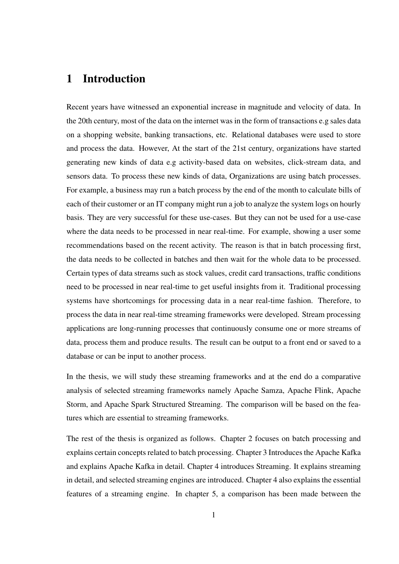# <span id="page-5-0"></span>1 Introduction

Recent years have witnessed an exponential increase in magnitude and velocity of data. In the 20th century, most of the data on the internet was in the form of transactions e.g sales data on a shopping website, banking transactions, etc. Relational databases were used to store and process the data. However, At the start of the 21st century, organizations have started generating new kinds of data e.g activity-based data on websites, click-stream data, and sensors data. To process these new kinds of data, Organizations are using batch processes. For example, a business may run a batch process by the end of the month to calculate bills of each of their customer or an IT company might run a job to analyze the system logs on hourly basis. They are very successful for these use-cases. But they can not be used for a use-case where the data needs to be processed in near real-time. For example, showing a user some recommendations based on the recent activity. The reason is that in batch processing first, the data needs to be collected in batches and then wait for the whole data to be processed. Certain types of data streams such as stock values, credit card transactions, traffic conditions need to be processed in near real-time to get useful insights from it. Traditional processing systems have shortcomings for processing data in a near real-time fashion. Therefore, to process the data in near real-time streaming frameworks were developed. Stream processing applications are long-running processes that continuously consume one or more streams of data, process them and produce results. The result can be output to a front end or saved to a database or can be input to another process.

In the thesis, we will study these streaming frameworks and at the end do a comparative analysis of selected streaming frameworks namely Apache Samza, Apache Flink, Apache Storm, and Apache Spark Structured Streaming. The comparison will be based on the features which are essential to streaming frameworks.

The rest of the thesis is organized as follows. Chapter 2 focuses on batch processing and explains certain concepts related to batch processing. Chapter 3 Introduces the Apache Kafka and explains Apache Kafka in detail. Chapter 4 introduces Streaming. It explains streaming in detail, and selected streaming engines are introduced. Chapter 4 also explains the essential features of a streaming engine. In chapter 5, a comparison has been made between the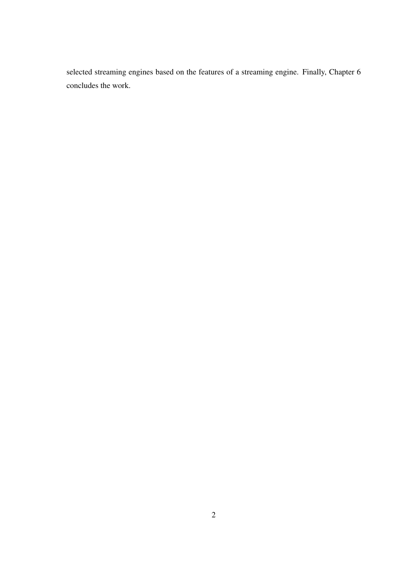selected streaming engines based on the features of a streaming engine. Finally, Chapter 6 concludes the work.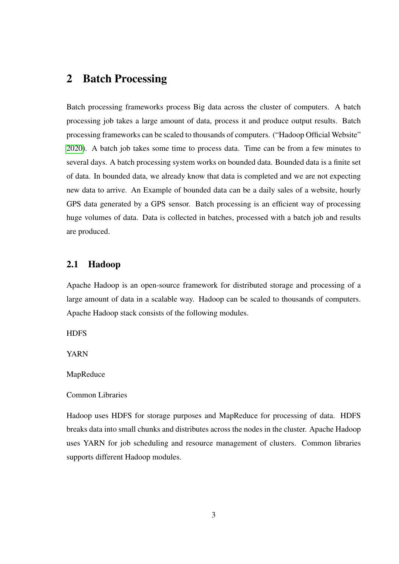# <span id="page-7-0"></span>2 Batch Processing

Batch processing frameworks process Big data across the cluster of computers. A batch processing job takes a large amount of data, process it and produce output results. Batch processing frameworks can be scaled to thousands of computers. ("Hadoop Official Website" [2020\)](#page-44-1). A batch job takes some time to process data. Time can be from a few minutes to several days. A batch processing system works on bounded data. Bounded data is a finite set of data. In bounded data, we already know that data is completed and we are not expecting new data to arrive. An Example of bounded data can be a daily sales of a website, hourly GPS data generated by a GPS sensor. Batch processing is an efficient way of processing huge volumes of data. Data is collected in batches, processed with a batch job and results are produced.

### <span id="page-7-1"></span>2.1 Hadoop

Apache Hadoop is an open-source framework for distributed storage and processing of a large amount of data in a scalable way. Hadoop can be scaled to thousands of computers. Apache Hadoop stack consists of the following modules.

**HDFS** 

YARN

#### MapReduce

#### Common Libraries

Hadoop uses HDFS for storage purposes and MapReduce for processing of data. HDFS breaks data into small chunks and distributes across the nodes in the cluster. Apache Hadoop uses YARN for job scheduling and resource management of clusters. Common libraries supports different Hadoop modules.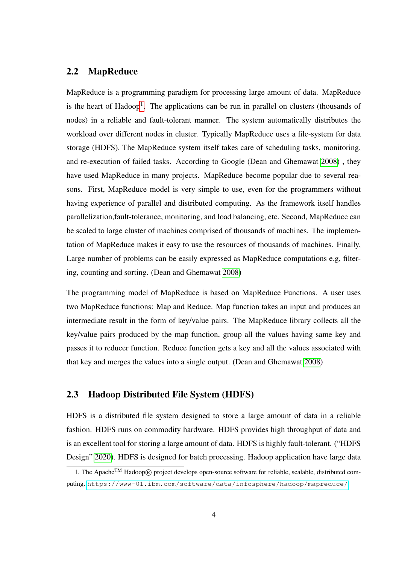### <span id="page-8-0"></span>2.2 MapReduce

MapReduce is a programming paradigm for processing large amount of data. MapReduce is the heart of Hadoop<sup>[1](#page-8-2)</sup>. The applications can be run in parallel on clusters (thousands of nodes) in a reliable and fault-tolerant manner. The system automatically distributes the workload over different nodes in cluster. Typically MapReduce uses a file-system for data storage (HDFS). The MapReduce system itself takes care of scheduling tasks, monitoring, and re-execution of failed tasks. According to Google (Dean and Ghemawat [2008\)](#page-43-3) , they have used MapReduce in many projects. MapReduce become popular due to several reasons. First, MapReduce model is very simple to use, even for the programmers without having experience of parallel and distributed computing. As the framework itself handles parallelization,fault-tolerance, monitoring, and load balancing, etc. Second, MapReduce can be scaled to large cluster of machines comprised of thousands of machines. The implementation of MapReduce makes it easy to use the resources of thousands of machines. Finally, Large number of problems can be easily expressed as MapReduce computations e.g, filtering, counting and sorting. (Dean and Ghemawat [2008\)](#page-43-3)

The programming model of MapReduce is based on MapReduce Functions. A user uses two MapReduce functions: Map and Reduce. Map function takes an input and produces an intermediate result in the form of key/value pairs. The MapReduce library collects all the key/value pairs produced by the map function, group all the values having same key and passes it to reducer function. Reduce function gets a key and all the values associated with that key and merges the values into a single output. (Dean and Ghemawat [2008\)](#page-43-3)

### <span id="page-8-1"></span>2.3 Hadoop Distributed File System (HDFS)

HDFS is a distributed file system designed to store a large amount of data in a reliable fashion. HDFS runs on commodity hardware. HDFS provides high throughput of data and is an excellent tool for storing a large amount of data. HDFS is highly fault-tolerant. ("HDFS Design" [2020\)](#page-44-2). HDFS is designed for batch processing. Hadoop application have large data

<span id="page-8-2"></span><sup>1.</sup> The Apache<sup>TM</sup> Hadoop® project develops open-source software for reliable, scalable, distributed computing. <https://www-01.ibm.com/software/data/infosphere/hadoop/mapreduce/>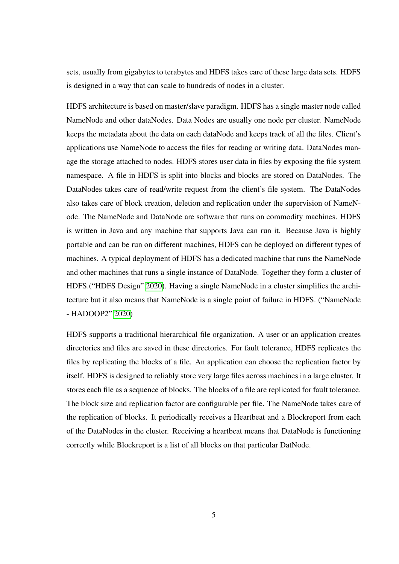sets, usually from gigabytes to terabytes and HDFS takes care of these large data sets. HDFS is designed in a way that can scale to hundreds of nodes in a cluster.

HDFS architecture is based on master/slave paradigm. HDFS has a single master node called NameNode and other dataNodes. Data Nodes are usually one node per cluster. NameNode keeps the metadata about the data on each dataNode and keeps track of all the files. Client's applications use NameNode to access the files for reading or writing data. DataNodes manage the storage attached to nodes. HDFS stores user data in files by exposing the file system namespace. A file in HDFS is split into blocks and blocks are stored on DataNodes. The DataNodes takes care of read/write request from the client's file system. The DataNodes also takes care of block creation, deletion and replication under the supervision of NameNode. The NameNode and DataNode are software that runs on commodity machines. HDFS is written in Java and any machine that supports Java can run it. Because Java is highly portable and can be run on different machines, HDFS can be deployed on different types of machines. A typical deployment of HDFS has a dedicated machine that runs the NameNode and other machines that runs a single instance of DataNode. Together they form a cluster of HDFS.("HDFS Design" [2020\)](#page-44-2). Having a single NameNode in a cluster simplifies the architecture but it also means that NameNode is a single point of failure in HDFS. ("NameNode - HADOOP2" [2020\)](#page-45-2)

HDFS supports a traditional hierarchical file organization. A user or an application creates directories and files are saved in these directories. For fault tolerance, HDFS replicates the files by replicating the blocks of a file. An application can choose the replication factor by itself. HDFS is designed to reliably store very large files across machines in a large cluster. It stores each file as a sequence of blocks. The blocks of a file are replicated for fault tolerance. The block size and replication factor are configurable per file. The NameNode takes care of the replication of blocks. It periodically receives a Heartbeat and a Blockreport from each of the DataNodes in the cluster. Receiving a heartbeat means that DataNode is functioning correctly while Blockreport is a list of all blocks on that particular DatNode.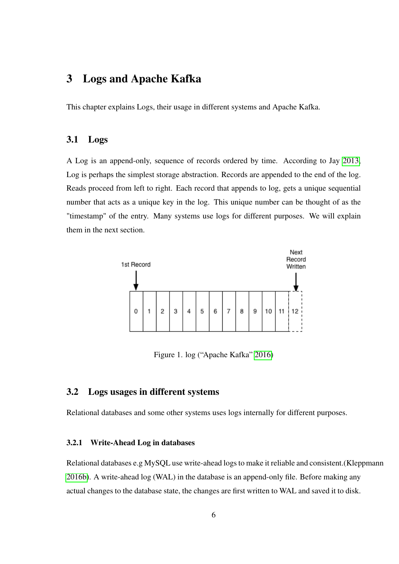# <span id="page-10-1"></span>3 Logs and Apache Kafka

This chapter explains Logs, their usage in different systems and Apache Kafka.

### <span id="page-10-2"></span>3.1 Logs

A Log is an append-only, sequence of records ordered by time. According to Jay [2013,](#page-44-3) Log is perhaps the simplest storage abstraction. Records are appended to the end of the log. Reads proceed from left to right. Each record that appends to log, gets a unique sequential number that acts as a unique key in the log. This unique number can be thought of as the "timestamp" of the entry. Many systems use logs for different purposes. We will explain them in the next section.



<span id="page-10-0"></span>Figure 1. log ("Apache Kafka" [2016\)](#page-43-0)

# <span id="page-10-3"></span>3.2 Logs usages in different systems

Relational databases and some other systems uses logs internally for different purposes.

#### <span id="page-10-4"></span>3.2.1 Write-Ahead Log in databases

Relational databases e.g MySQL use write-ahead logs to make it reliable and consistent.(Kleppmann [2016b\)](#page-44-4). A write-ahead log (WAL) in the database is an append-only file. Before making any actual changes to the database state, the changes are first written to WAL and saved it to disk.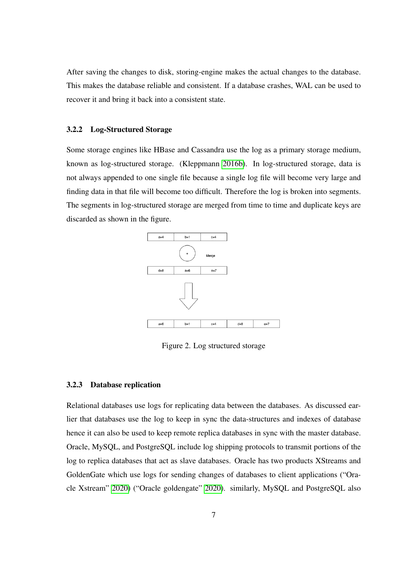After saving the changes to disk, storing-engine makes the actual changes to the database. This makes the database reliable and consistent. If a database crashes, WAL can be used to recover it and bring it back into a consistent state.

#### <span id="page-11-1"></span>3.2.2 Log-Structured Storage

Some storage engines like HBase and Cassandra use the log as a primary storage medium, known as log-structured storage. (Kleppmann [2016b\)](#page-44-4). In log-structured storage, data is not always appended to one single file because a single log file will become very large and finding data in that file will become too difficult. Therefore the log is broken into segments. The segments in log-structured storage are merged from time to time and duplicate keys are discarded as shown in the figure.



<span id="page-11-0"></span>Figure 2. Log structured storage

#### <span id="page-11-2"></span>3.2.3 Database replication

Relational databases use logs for replicating data between the databases. As discussed earlier that databases use the log to keep in sync the data-structures and indexes of database hence it can also be used to keep remote replica databases in sync with the master database. Oracle, MySQL, and PostgreSQL include log shipping protocols to transmit portions of the log to replica databases that act as slave databases. Oracle has two products XStreams and GoldenGate which use logs for sending changes of databases to client applications ("Oracle Xstream" [2020\)](#page-45-3) ("Oracle goldengate" [2020\)](#page-45-4). similarly, MySQL and PostgreSQL also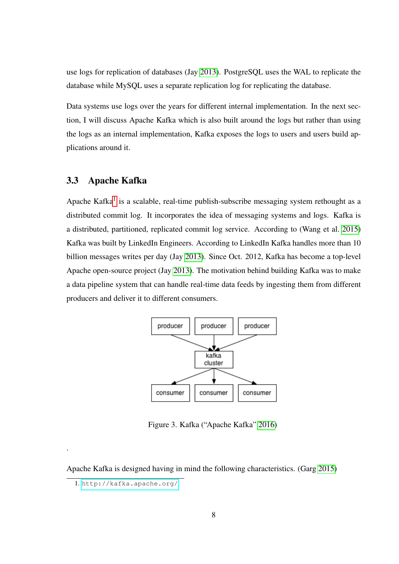use logs for replication of databases (Jay [2013\)](#page-44-3). PostgreSQL uses the WAL to replicate the database while MySQL uses a separate replication log for replicating the database.

Data systems use logs over the years for different internal implementation. In the next section, I will discuss Apache Kafka which is also built around the logs but rather than using the logs as an internal implementation, Kafka exposes the logs to users and users build applications around it.

# <span id="page-12-1"></span>3.3 Apache Kafka

Apache Kafka<sup>[1](#page-12-2)</sup> is a scalable, real-time publish-subscribe messaging system rethought as a distributed commit log. It incorporates the idea of messaging systems and logs. Kafka is a distributed, partitioned, replicated commit log service. According to (Wang et al. [2015\)](#page-47-0) Kafka was built by LinkedIn Engineers. According to LinkedIn Kafka handles more than 10 billion messages writes per day (Jay [2013\)](#page-44-3). Since Oct. 2012, Kafka has become a top-level Apache open-source project (Jay [2013\)](#page-44-3). The motivation behind building Kafka was to make a data pipeline system that can handle real-time data feeds by ingesting them from different producers and deliver it to different consumers.



<span id="page-12-0"></span>Figure 3. Kafka ("Apache Kafka" [2016\)](#page-43-0)

Apache Kafka is designed having in mind the following characteristics. (Garg [2015\)](#page-44-5)

.

<span id="page-12-2"></span><sup>1.</sup> <http://kafka.apache.org/>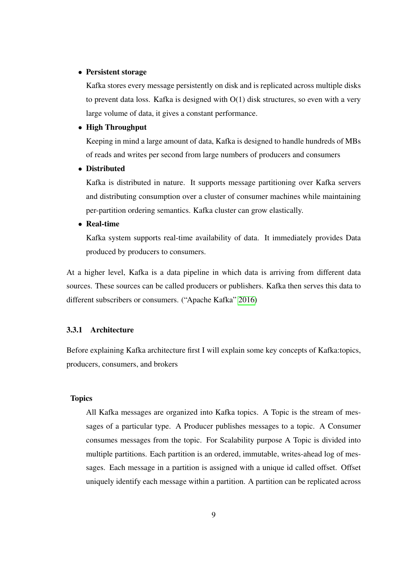#### • Persistent storage

Kafka stores every message persistently on disk and is replicated across multiple disks to prevent data loss. Kafka is designed with O(1) disk structures, so even with a very large volume of data, it gives a constant performance.

#### • High Throughput

Keeping in mind a large amount of data, Kafka is designed to handle hundreds of MBs of reads and writes per second from large numbers of producers and consumers

#### • Distributed

Kafka is distributed in nature. It supports message partitioning over Kafka servers and distributing consumption over a cluster of consumer machines while maintaining per-partition ordering semantics. Kafka cluster can grow elastically.

#### • Real-time

Kafka system supports real-time availability of data. It immediately provides Data produced by producers to consumers.

At a higher level, Kafka is a data pipeline in which data is arriving from different data sources. These sources can be called producers or publishers. Kafka then serves this data to different subscribers or consumers. ("Apache Kafka" [2016\)](#page-43-0)

#### <span id="page-13-0"></span>3.3.1 Architecture

Before explaining Kafka architecture first I will explain some key concepts of Kafka:topics, producers, consumers, and brokers

#### Topics

All Kafka messages are organized into Kafka topics. A Topic is the stream of messages of a particular type. A Producer publishes messages to a topic. A Consumer consumes messages from the topic. For Scalability purpose A Topic is divided into multiple partitions. Each partition is an ordered, immutable, writes-ahead log of messages. Each message in a partition is assigned with a unique id called offset. Offset uniquely identify each message within a partition. A partition can be replicated across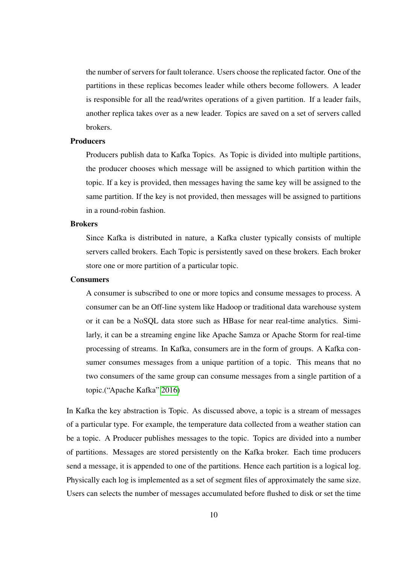the number of servers for fault tolerance. Users choose the replicated factor. One of the partitions in these replicas becomes leader while others become followers. A leader is responsible for all the read/writes operations of a given partition. If a leader fails, another replica takes over as a new leader. Topics are saved on a set of servers called brokers.

#### **Producers**

Producers publish data to Kafka Topics. As Topic is divided into multiple partitions, the producer chooses which message will be assigned to which partition within the topic. If a key is provided, then messages having the same key will be assigned to the same partition. If the key is not provided, then messages will be assigned to partitions in a round-robin fashion.

#### **Brokers**

Since Kafka is distributed in nature, a Kafka cluster typically consists of multiple servers called brokers. Each Topic is persistently saved on these brokers. Each broker store one or more partition of a particular topic.

#### **Consumers**

A consumer is subscribed to one or more topics and consume messages to process. A consumer can be an Off-line system like Hadoop or traditional data warehouse system or it can be a NoSQL data store such as HBase for near real-time analytics. Similarly, it can be a streaming engine like Apache Samza or Apache Storm for real-time processing of streams. In Kafka, consumers are in the form of groups. A Kafka consumer consumes messages from a unique partition of a topic. This means that no two consumers of the same group can consume messages from a single partition of a topic.("Apache Kafka" [2016\)](#page-43-0)

In Kafka the key abstraction is Topic. As discussed above, a topic is a stream of messages of a particular type. For example, the temperature data collected from a weather station can be a topic. A Producer publishes messages to the topic. Topics are divided into a number of partitions. Messages are stored persistently on the Kafka broker. Each time producers send a message, it is appended to one of the partitions. Hence each partition is a logical log. Physically each log is implemented as a set of segment files of approximately the same size. Users can selects the number of messages accumulated before flushed to disk or set the time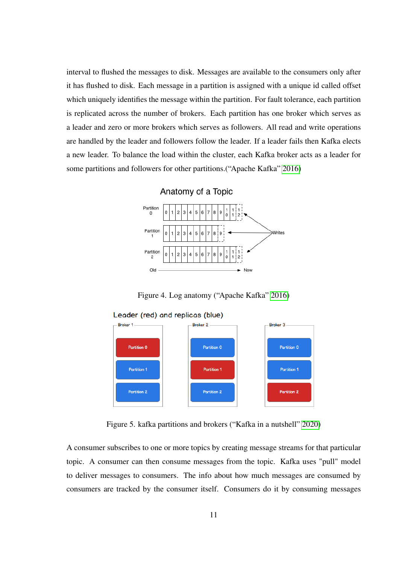interval to flushed the messages to disk. Messages are available to the consumers only after it has flushed to disk. Each message in a partition is assigned with a unique id called offset which uniquely identifies the message within the partition. For fault tolerance, each partition is replicated across the number of brokers. Each partition has one broker which serves as a leader and zero or more brokers which serves as followers. All read and write operations are handled by the leader and followers follow the leader. If a leader fails then Kafka elects a new leader. To balance the load within the cluster, each Kafka broker acts as a leader for some partitions and followers for other partitions.("Apache Kafka" [2016\)](#page-43-0)



<span id="page-15-0"></span>Figure 4. Log anatomy ("Apache Kafka" [2016\)](#page-43-0)





<span id="page-15-1"></span>Figure 5. kafka partitions and brokers ("Kafka in a nutshell" [2020\)](#page-44-0)

A consumer subscribes to one or more topics by creating message streams for that particular topic. A consumer can then consume messages from the topic. Kafka uses "pull" model to deliver messages to consumers. The info about how much messages are consumed by consumers are tracked by the consumer itself. Consumers do it by consuming messages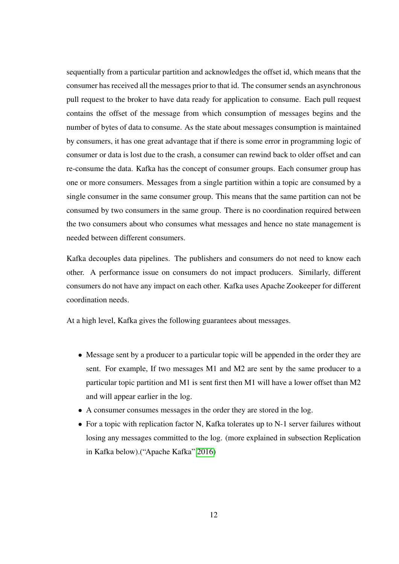sequentially from a particular partition and acknowledges the offset id, which means that the consumer has received all the messages prior to that id. The consumer sends an asynchronous pull request to the broker to have data ready for application to consume. Each pull request contains the offset of the message from which consumption of messages begins and the number of bytes of data to consume. As the state about messages consumption is maintained by consumers, it has one great advantage that if there is some error in programming logic of consumer or data is lost due to the crash, a consumer can rewind back to older offset and can re-consume the data. Kafka has the concept of consumer groups. Each consumer group has one or more consumers. Messages from a single partition within a topic are consumed by a single consumer in the same consumer group. This means that the same partition can not be consumed by two consumers in the same group. There is no coordination required between the two consumers about who consumes what messages and hence no state management is needed between different consumers.

Kafka decouples data pipelines. The publishers and consumers do not need to know each other. A performance issue on consumers do not impact producers. Similarly, different consumers do not have any impact on each other. Kafka uses Apache Zookeeper for different coordination needs.

At a high level, Kafka gives the following guarantees about messages.

- Message sent by a producer to a particular topic will be appended in the order they are sent. For example, If two messages M1 and M2 are sent by the same producer to a particular topic partition and M1 is sent first then M1 will have a lower offset than M2 and will appear earlier in the log.
- A consumer consumes messages in the order they are stored in the log.
- For a topic with replication factor N, Kafka tolerates up to N-1 server failures without losing any messages committed to the log. (more explained in subsection Replication in Kafka below).("Apache Kafka" [2016\)](#page-43-0)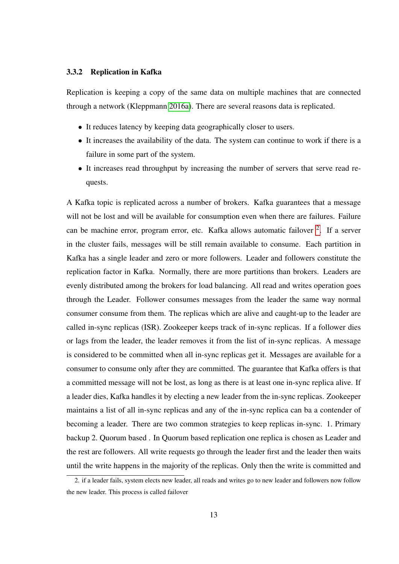#### <span id="page-17-0"></span>3.3.2 Replication in Kafka

Replication is keeping a copy of the same data on multiple machines that are connected through a network (Kleppmann [2016a\)](#page-44-6). There are several reasons data is replicated.

- It reduces latency by keeping data geographically closer to users.
- It increases the availability of the data. The system can continue to work if there is a failure in some part of the system.
- It increases read throughput by increasing the number of servers that serve read requests.

A Kafka topic is replicated across a number of brokers. Kafka guarantees that a message will not be lost and will be available for consumption even when there are failures. Failure can be machine error, program error, etc. Kafka allows automatic failover <sup>[2](#page-17-1)</sup>. If a server in the cluster fails, messages will be still remain available to consume. Each partition in Kafka has a single leader and zero or more followers. Leader and followers constitute the replication factor in Kafka. Normally, there are more partitions than brokers. Leaders are evenly distributed among the brokers for load balancing. All read and writes operation goes through the Leader. Follower consumes messages from the leader the same way normal consumer consume from them. The replicas which are alive and caught-up to the leader are called in-sync replicas (ISR). Zookeeper keeps track of in-sync replicas. If a follower dies or lags from the leader, the leader removes it from the list of in-sync replicas. A message is considered to be committed when all in-sync replicas get it. Messages are available for a consumer to consume only after they are committed. The guarantee that Kafka offers is that a committed message will not be lost, as long as there is at least one in-sync replica alive. If a leader dies, Kafka handles it by electing a new leader from the in-sync replicas. Zookeeper maintains a list of all in-sync replicas and any of the in-sync replica can ba a contender of becoming a leader. There are two common strategies to keep replicas in-sync. 1. Primary backup 2. Quorum based . In Quorum based replication one replica is chosen as Leader and the rest are followers. All write requests go through the leader first and the leader then waits until the write happens in the majority of the replicas. Only then the write is committed and

<span id="page-17-1"></span><sup>2.</sup> if a leader fails, system elects new leader, all reads and writes go to new leader and followers now follow the new leader. This process is called failover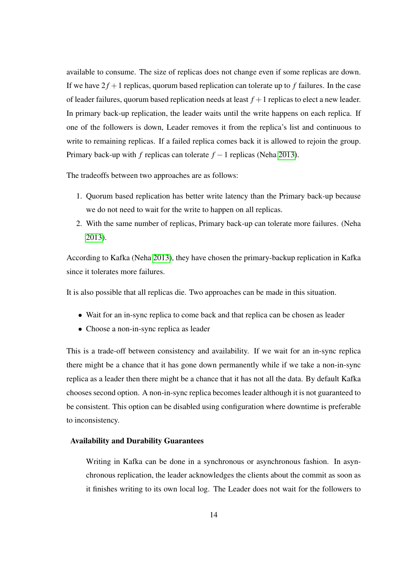available to consume. The size of replicas does not change even if some replicas are down. If we have  $2f + 1$  replicas, quorum based replication can tolerate up to f failures. In the case of leader failures, quorum based replication needs at least  $f + 1$  replicas to elect a new leader. In primary back-up replication, the leader waits until the write happens on each replica. If one of the followers is down, Leader removes it from the replica's list and continuous to write to remaining replicas. If a failed replica comes back it is allowed to rejoin the group. Primary back-up with *f* replicas can tolerate *f* −1 replicas (Neha [2013\)](#page-45-5).

The tradeoffs between two approaches are as follows:

- 1. Quorum based replication has better write latency than the Primary back-up because we do not need to wait for the write to happen on all replicas.
- 2. With the same number of replicas, Primary back-up can tolerate more failures. (Neha [2013\)](#page-45-5).

According to Kafka (Neha [2013\)](#page-45-5), they have chosen the primary-backup replication in Kafka since it tolerates more failures.

It is also possible that all replicas die. Two approaches can be made in this situation.

- Wait for an in-sync replica to come back and that replica can be chosen as leader
- Choose a non-in-sync replica as leader

This is a trade-off between consistency and availability. If we wait for an in-sync replica there might be a chance that it has gone down permanently while if we take a non-in-sync replica as a leader then there might be a chance that it has not all the data. By default Kafka chooses second option. A non-in-sync replica becomes leader although it is not guaranteed to be consistent. This option can be disabled using configuration where downtime is preferable to inconsistency.

#### Availability and Durability Guarantees

Writing in Kafka can be done in a synchronous or asynchronous fashion. In asynchronous replication, the leader acknowledges the clients about the commit as soon as it finishes writing to its own local log. The Leader does not wait for the followers to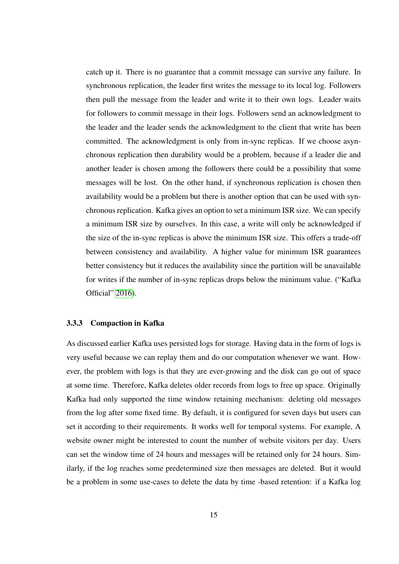catch up it. There is no guarantee that a commit message can survive any failure. In synchronous replication, the leader first writes the message to its local log. Followers then pull the message from the leader and write it to their own logs. Leader waits for followers to commit message in their logs. Followers send an acknowledgment to the leader and the leader sends the acknowledgment to the client that write has been committed. The acknowledgment is only from in-sync replicas. If we choose asynchronous replication then durability would be a problem, because if a leader die and another leader is chosen among the followers there could be a possibility that some messages will be lost. On the other hand, if synchronous replication is chosen then availability would be a problem but there is another option that can be used with synchronous replication. Kafka gives an option to set a minimum ISR size. We can specify a minimum ISR size by ourselves. In this case, a write will only be acknowledged if the size of the in-sync replicas is above the minimum ISR size. This offers a trade-off between consistency and availability. A higher value for minimum ISR guarantees better consistency but it reduces the availability since the partition will be unavailable for writes if the number of in-sync replicas drops below the minimum value. ("Kafka Official" [2016\)](#page-44-7).

#### <span id="page-19-0"></span>3.3.3 Compaction in Kafka

As discussed earlier Kafka uses persisted logs for storage. Having data in the form of logs is very useful because we can replay them and do our computation whenever we want. However, the problem with logs is that they are ever-growing and the disk can go out of space at some time. Therefore, Kafka deletes older records from logs to free up space. Originally Kafka had only supported the time window retaining mechanism: deleting old messages from the log after some fixed time. By default, it is configured for seven days but users can set it according to their requirements. It works well for temporal systems. For example, A website owner might be interested to count the number of website visitors per day. Users can set the window time of 24 hours and messages will be retained only for 24 hours. Similarly, if the log reaches some predetermined size then messages are deleted. But it would be a problem in some use-cases to delete the data by time -based retention: if a Kafka log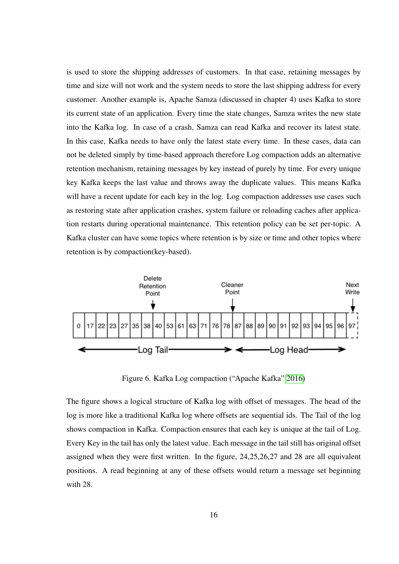is used to store the shipping addresses of customers. In that case, retaining messages by time and size will not work and the system needs to store the last shipping address for every customer. Another example is, Apache Samza (discussed in chapter 4) uses Kafka to store its current state of an application. Every time the state changes, Samza writes the new state into the Kafka log. In case of a crash, Samza can read Kafka and recover its latest state. In this case, Kafka needs to have only the latest state every time. In these cases, data can not be deleted simply by time-based approach therefore Log compaction adds an alternative retention mechanism, retaining messages by key instead of purely by time. For every unique key Kafka keeps the last value and throws away the duplicate values. This means Kafka will have a recent update for each key in the log. Log compaction addresses use cases such as restoring state after application crashes, system failure or reloading caches after application restarts during operational maintenance. This retention policy can be set per-topic. A Kafka cluster can have some topics where retention is by size or time and other topics where retention is by compaction(key-based).



<span id="page-20-0"></span>Figure 6. Kafka Log compaction ("Apache Kafka" [2016\)](#page-43-0)

The figure shows a logical structure of Kafka log with offset of messages. The head of the log is more like a traditional Kafka log where offsets are sequential ids. The Tail of the log shows compaction in Kafka. Compaction ensures that each key is unique at the tail of Log. Every Key in the tail has only the latest value. Each message in the tail still has original offset assigned when they were first written. In the figure, 24,25,26,27 and 28 are all equivalent positions. A read beginning at any of these offsets would return a message set beginning with 28.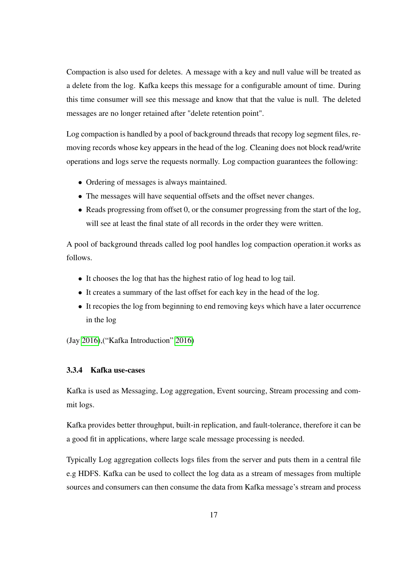Compaction is also used for deletes. A message with a key and null value will be treated as a delete from the log. Kafka keeps this message for a configurable amount of time. During this time consumer will see this message and know that that the value is null. The deleted messages are no longer retained after "delete retention point".

Log compaction is handled by a pool of background threads that recopy log segment files, removing records whose key appears in the head of the log. Cleaning does not block read/write operations and logs serve the requests normally. Log compaction guarantees the following:

- Ordering of messages is always maintained.
- The messages will have sequential offsets and the offset never changes.
- Reads progressing from offset 0, or the consumer progressing from the start of the log, will see at least the final state of all records in the order they were written.

A pool of background threads called log pool handles log compaction operation.it works as follows.

- It chooses the log that has the highest ratio of log head to log tail.
- It creates a summary of the last offset for each key in the head of the log.
- It recopies the log from beginning to end removing keys which have a later occurrence in the log

(Jay [2016\)](#page-44-8),("Kafka Introduction" [2016\)](#page-44-9)

#### <span id="page-21-0"></span>3.3.4 Kafka use-cases

Kafka is used as Messaging, Log aggregation, Event sourcing, Stream processing and commit logs.

Kafka provides better throughput, built-in replication, and fault-tolerance, therefore it can be a good fit in applications, where large scale message processing is needed.

Typically Log aggregation collects logs files from the server and puts them in a central file e.g HDFS. Kafka can be used to collect the log data as a stream of messages from multiple sources and consumers can then consume the data from Kafka message's stream and process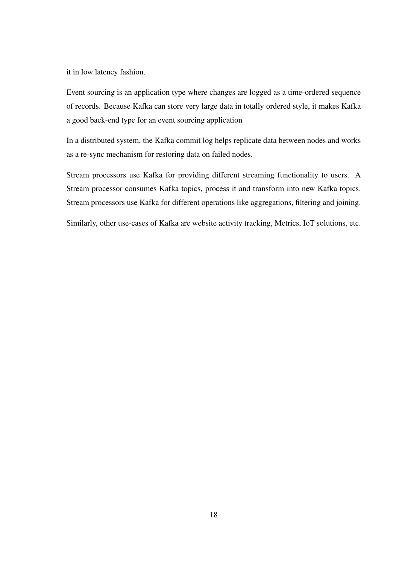it in low latency fashion.

Event sourcing is an application type where changes are logged as a time-ordered sequence of records. Because Kafka can store very large data in totally ordered style, it makes Kafka a good back-end type for an event sourcing application

In a distributed system, the Kafka commit log helps replicate data between nodes and works as a re-sync mechanism for restoring data on failed nodes.

Stream processors use Kafka for providing different streaming functionality to users. A Stream processor consumes Kafka topics, process it and transform into new Kafka topics. Stream processors use Kafka for different operations like aggregations, filtering and joining.

Similarly, other use-cases of Kafka are website activity tracking, Metrics, IoT solutions, etc.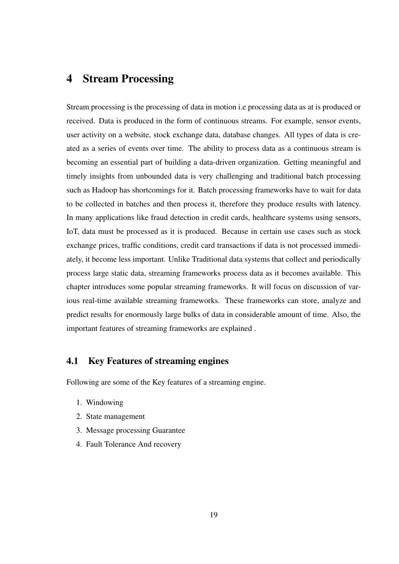# <span id="page-23-0"></span>4 Stream Processing

Stream processing is the processing of data in motion i.e processing data as at is produced or received. Data is produced in the form of continuous streams. For example, sensor events, user activity on a website, stock exchange data, database changes. All types of data is created as a series of events over time. The ability to process data as a continuous stream is becoming an essential part of building a data-driven organization. Getting meaningful and timely insights from unbounded data is very challenging and traditional batch processing such as Hadoop has shortcomings for it. Batch processing frameworks have to wait for data to be collected in batches and then process it, therefore they produce results with latency. In many applications like fraud detection in credit cards, healthcare systems using sensors, IoT, data must be processed as it is produced. Because in certain use cases such as stock exchange prices, traffic conditions, credit card transactions if data is not processed immediately, it become less important. Unlike Traditional data systems that collect and periodically process large static data, streaming frameworks process data as it becomes available. This chapter introduces some popular streaming frameworks. It will focus on discussion of various real-time available streaming frameworks. These frameworks can store, analyze and predict results for enormously large bulks of data in considerable amount of time. Also, the important features of streaming frameworks are explained .

#### <span id="page-23-1"></span>4.1 Key Features of streaming engines

Following are some of the Key features of a streaming engine.

- 1. Windowing
- 2. State management
- 3. Message processing Guarantee
- 4. Fault Tolerance And recovery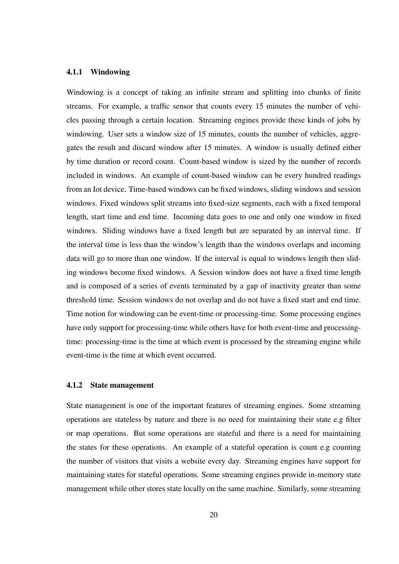#### <span id="page-24-0"></span>4.1.1 Windowing

Windowing is a concept of taking an infinite stream and splitting into chunks of finite streams. For example, a traffic sensor that counts every 15 minutes the number of vehicles passing through a certain location. Streaming engines provide these kinds of jobs by windowing. User sets a window size of 15 minutes, counts the number of vehicles, aggregates the result and discard window after 15 minutes. A window is usually defined either by time duration or record count. Count-based window is sized by the number of records included in windows. An example of count-based window can be every hundred readings from an Iot device. Time-based windows can be fixed windows, sliding windows and session windows. Fixed windows split streams into fixed-size segments, each with a fixed temporal length, start time and end time. Incoming data goes to one and only one window in fixed windows. Sliding windows have a fixed length but are separated by an interval time. If the interval time is less than the window's length than the windows overlaps and incoming data will go to more than one window. If the interval is equal to windows length then sliding windows become fixed windows. A Session window does not have a fixed time length and is composed of a series of events terminated by a gap of inactivity greater than some threshold time. Session windows do not overlap and do not have a fixed start and end time. Time notion for windowing can be event-time or processing-time. Some processing engines have only support for processing-time while others have for both event-time and processingtime: processing-time is the time at which event is processed by the streaming engine while event-time is the time at which event occurred.

#### <span id="page-24-1"></span>4.1.2 State management

State management is one of the important features of streaming engines. Some streaming operations are stateless by nature and there is no need for maintaining their state e.g filter or map operations. But some operations are stateful and there is a need for maintaining the states for these operations. An example of a stateful operation is count e.g counting the number of visitors that visits a website every day. Streaming engines have support for maintaining states for stateful operations. Some streaming engines provide in-memory state management while other stores state locally on the same machine. Similarly, some streaming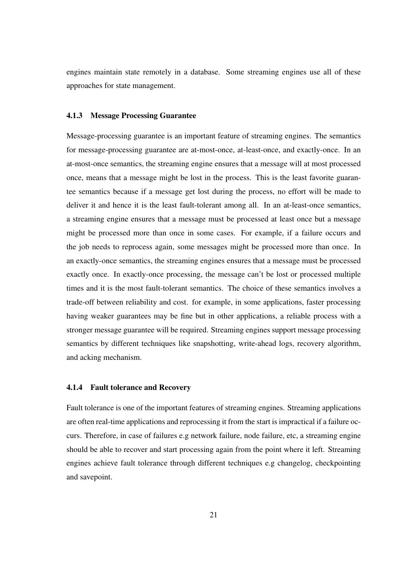engines maintain state remotely in a database. Some streaming engines use all of these approaches for state management.

#### <span id="page-25-0"></span>4.1.3 Message Processing Guarantee

Message-processing guarantee is an important feature of streaming engines. The semantics for message-processing guarantee are at-most-once, at-least-once, and exactly-once. In an at-most-once semantics, the streaming engine ensures that a message will at most processed once, means that a message might be lost in the process. This is the least favorite guarantee semantics because if a message get lost during the process, no effort will be made to deliver it and hence it is the least fault-tolerant among all. In an at-least-once semantics, a streaming engine ensures that a message must be processed at least once but a message might be processed more than once in some cases. For example, if a failure occurs and the job needs to reprocess again, some messages might be processed more than once. In an exactly-once semantics, the streaming engines ensures that a message must be processed exactly once. In exactly-once processing, the message can't be lost or processed multiple times and it is the most fault-tolerant semantics. The choice of these semantics involves a trade-off between reliability and cost. for example, in some applications, faster processing having weaker guarantees may be fine but in other applications, a reliable process with a stronger message guarantee will be required. Streaming engines support message processing semantics by different techniques like snapshotting, write-ahead logs, recovery algorithm, and acking mechanism.

#### <span id="page-25-1"></span>4.1.4 Fault tolerance and Recovery

Fault tolerance is one of the important features of streaming engines. Streaming applications are often real-time applications and reprocessing it from the start is impractical if a failure occurs. Therefore, in case of failures e.g network failure, node failure, etc, a streaming engine should be able to recover and start processing again from the point where it left. Streaming engines achieve fault tolerance through different techniques e.g changelog, checkpointing and savepoint.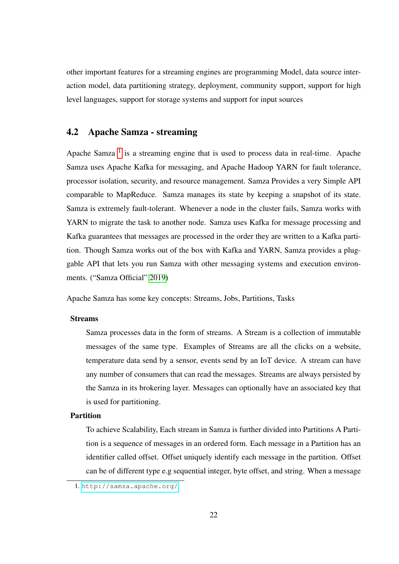other important features for a streaming engines are programming Model, data source interaction model, data partitioning strategy, deployment, community support, support for high level languages, support for storage systems and support for input sources

# <span id="page-26-0"></span>4.2 Apache Samza - streaming

Apache Samza  $<sup>1</sup>$  $<sup>1</sup>$  $<sup>1</sup>$  is a streaming engine that is used to process data in real-time. Apache</sup> Samza uses Apache Kafka for messaging, and Apache Hadoop YARN for fault tolerance, processor isolation, security, and resource management. Samza Provides a very Simple API comparable to MapReduce. Samza manages its state by keeping a snapshot of its state. Samza is extremely fault-tolerant. Whenever a node in the cluster fails, Samza works with YARN to migrate the task to another node. Samza uses Kafka for message processing and Kafka guarantees that messages are processed in the order they are written to a Kafka partition. Though Samza works out of the box with Kafka and YARN, Samza provides a pluggable API that lets you run Samza with other messaging systems and execution environments. ("Samza Official" [2019\)](#page-45-0)

Apache Samza has some key concepts: Streams, Jobs, Partitions, Tasks

#### Streams

Samza processes data in the form of streams. A Stream is a collection of immutable messages of the same type. Examples of Streams are all the clicks on a website, temperature data send by a sensor, events send by an IoT device. A stream can have any number of consumers that can read the messages. Streams are always persisted by the Samza in its brokering layer. Messages can optionally have an associated key that is used for partitioning.

#### Partition

To achieve Scalability, Each stream in Samza is further divided into Partitions A Partition is a sequence of messages in an ordered form. Each message in a Partition has an identifier called offset. Offset uniquely identify each message in the partition. Offset can be of different type e.g sequential integer, byte offset, and string. When a message

<span id="page-26-1"></span><sup>1.</sup> <http://samza.apache.org/>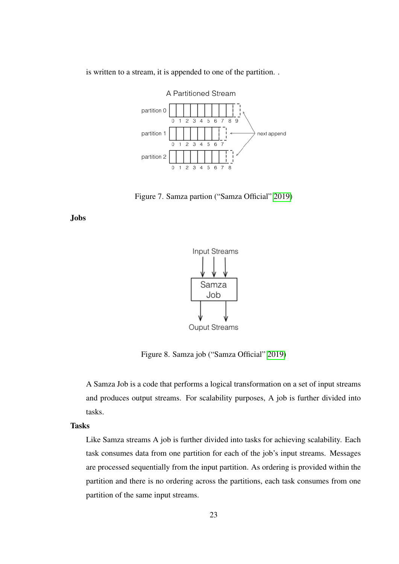

is written to a stream, it is appended to one of the partition. .

<span id="page-27-0"></span>Figure 7. Samza partion ("Samza Official" [2019\)](#page-45-0)

Jobs



<span id="page-27-1"></span>Ouput Streams

Figure 8. Samza job ("Samza Official" [2019\)](#page-45-0)

A Samza Job is a code that performs a logical transformation on a set of input streams and produces output streams. For scalability purposes, A job is further divided into tasks.

Tasks

Like Samza streams A job is further divided into tasks for achieving scalability. Each task consumes data from one partition for each of the job's input streams. Messages are processed sequentially from the input partition. As ordering is provided within the partition and there is no ordering across the partitions, each task consumes from one partition of the same input streams.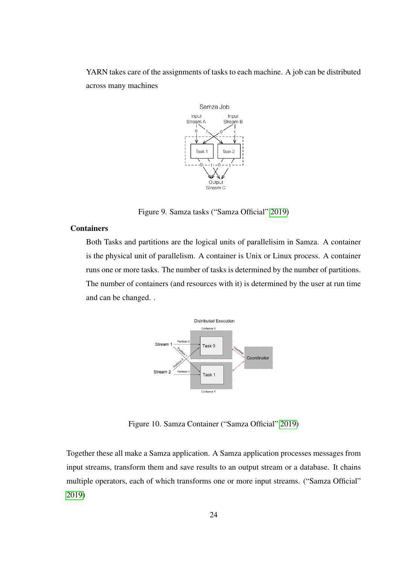YARN takes care of the assignments of tasks to each machine. A job can be distributed across many machines



<span id="page-28-0"></span>Figure 9. Samza tasks ("Samza Official" [2019\)](#page-45-0)

#### Containers

Both Tasks and partitions are the logical units of parallelisim in Samza. A container is the physical unit of parallelism. A container is Unix or Linux process. A container runs one or more tasks. The number of tasks is determined by the number of partitions. The number of containers (and resources with it) is determined by the user at run time and can be changed. .



<span id="page-28-1"></span>Figure 10. Samza Container ("Samza Official" [2019\)](#page-45-0)

Together these all make a Samza application. A Samza application processes messages from input streams, transform them and save results to an output stream or a database. It chains multiple operators, each of which transforms one or more input streams. ("Samza Official" [2019\)](#page-45-0)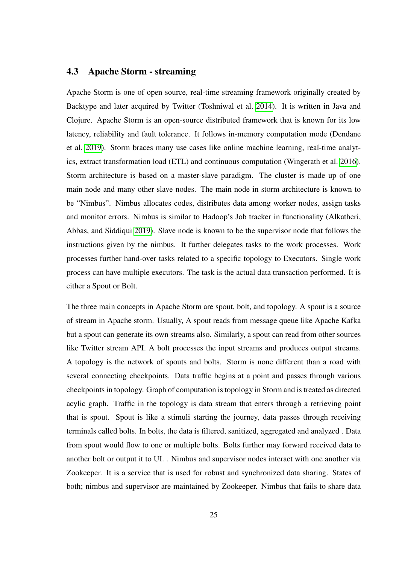#### <span id="page-29-0"></span>4.3 Apache Storm - streaming

Apache Storm is one of open source, real-time streaming framework originally created by Backtype and later acquired by Twitter (Toshniwal et al. [2014\)](#page-46-1). It is written in Java and Clojure. Apache Storm is an open-source distributed framework that is known for its low latency, reliability and fault tolerance. It follows in-memory computation mode (Dendane et al. [2019\)](#page-43-4). Storm braces many use cases like online machine learning, real-time analytics, extract transformation load (ETL) and continuous computation (Wingerath et al. [2016\)](#page-47-1). Storm architecture is based on a master-slave paradigm. The cluster is made up of one main node and many other slave nodes. The main node in storm architecture is known to be "Nimbus". Nimbus allocates codes, distributes data among worker nodes, assign tasks and monitor errors. Nimbus is similar to Hadoop's Job tracker in functionality (Alkatheri, Abbas, and Siddiqui [2019\)](#page-43-5). Slave node is known to be the supervisor node that follows the instructions given by the nimbus. It further delegates tasks to the work processes. Work processes further hand-over tasks related to a specific topology to Executors. Single work process can have multiple executors. The task is the actual data transaction performed. It is either a Spout or Bolt.

The three main concepts in Apache Storm are spout, bolt, and topology. A spout is a source of stream in Apache storm. Usually, A spout reads from message queue like Apache Kafka but a spout can generate its own streams also. Similarly, a spout can read from other sources like Twitter stream API. A bolt processes the input streams and produces output streams. A topology is the network of spouts and bolts. Storm is none different than a road with several connecting checkpoints. Data traffic begins at a point and passes through various checkpoints in topology. Graph of computation is topology in Storm and is treated as directed acylic graph. Traffic in the topology is data stream that enters through a retrieving point that is spout. Spout is like a stimuli starting the journey, data passes through receiving terminals called bolts. In bolts, the data is filtered, sanitized, aggregated and analyzed . Data from spout would flow to one or multiple bolts. Bolts further may forward received data to another bolt or output it to UI. . Nimbus and supervisor nodes interact with one another via Zookeeper. It is a service that is used for robust and synchronized data sharing. States of both; nimbus and supervisor are maintained by Zookeeper. Nimbus that fails to share data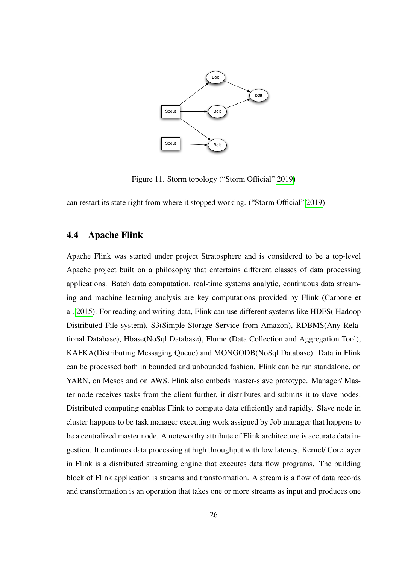

<span id="page-30-0"></span>Figure 11. Storm topology ("Storm Official" [2019\)](#page-45-1)

can restart its state right from where it stopped working. ("Storm Official" [2019\)](#page-45-1)

## <span id="page-30-1"></span>4.4 Apache Flink

Apache Flink was started under project Stratosphere and is considered to be a top-level Apache project built on a philosophy that entertains different classes of data processing applications. Batch data computation, real-time systems analytic, continuous data streaming and machine learning analysis are key computations provided by Flink (Carbone et al. [2015\)](#page-43-6). For reading and writing data, Flink can use different systems like HDFS( Hadoop Distributed File system), S3(Simple Storage Service from Amazon), RDBMS(Any Relational Database), Hbase(NoSql Database), Flume (Data Collection and Aggregation Tool), KAFKA(Distributing Messaging Queue) and MONGODB(NoSql Database). Data in Flink can be processed both in bounded and unbounded fashion. Flink can be run standalone, on YARN, on Mesos and on AWS. Flink also embeds master-slave prototype. Manager/ Master node receives tasks from the client further, it distributes and submits it to slave nodes. Distributed computing enables Flink to compute data efficiently and rapidly. Slave node in cluster happens to be task manager executing work assigned by Job manager that happens to be a centralized master node. A noteworthy attribute of Flink architecture is accurate data ingestion. It continues data processing at high throughput with low latency. Kernel/ Core layer in Flink is a distributed streaming engine that executes data flow programs. The building block of Flink application is streams and transformation. A stream is a flow of data records and transformation is an operation that takes one or more streams as input and produces one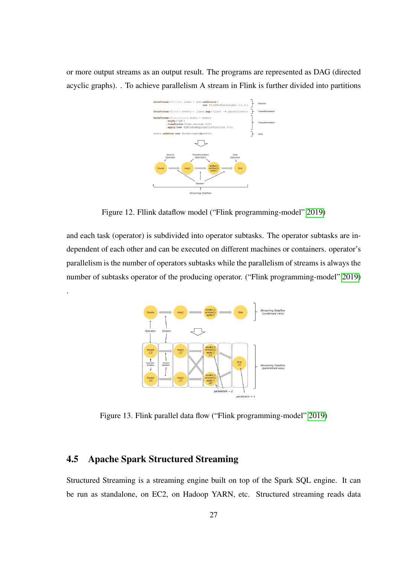or more output streams as an output result. The programs are represented as DAG (directed acyclic graphs). . To achieve parallelism A stream in Flink is further divided into partitions



<span id="page-31-0"></span>Figure 12. Fllink dataflow model ("Flink programming-model" [2019\)](#page-43-1)

and each task (operator) is subdivided into operator subtasks. The operator subtasks are independent of each other and can be executed on different machines or containers. operator's parallelism is the number of operators subtasks while the parallelism of streams is always the number of subtasks operator of the producing operator. ("Flink programming-model" [2019\)](#page-43-1)



<span id="page-31-1"></span>Figure 13. Flink parallel data flow ("Flink programming-model" [2019\)](#page-43-1)

### <span id="page-31-2"></span>4.5 Apache Spark Structured Streaming

.

Structured Streaming is a streaming engine built on top of the Spark SQL engine. It can be run as standalone, on EC2, on Hadoop YARN, etc. Structured streaming reads data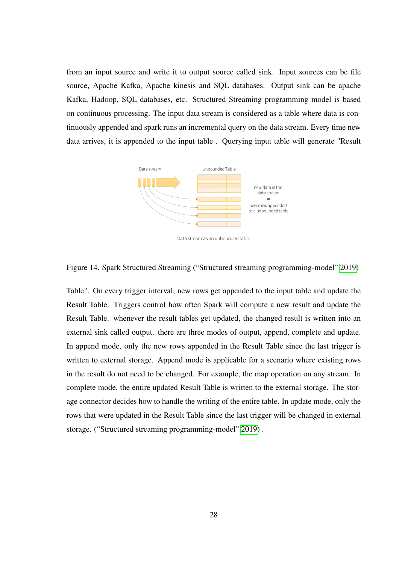from an input source and write it to output source called sink. Input sources can be file source, Apache Kafka, Apache kinesis and SQL databases. Output sink can be apache Kafka, Hadoop, SQL databases, etc. Structured Streaming programming model is based on continuous processing. The input data stream is considered as a table where data is continuously appended and spark runs an incremental query on the data stream. Every time new data arrives, it is appended to the input table . Querying input table will generate "Result



Data stream as an unbounded table

<span id="page-32-0"></span>Figure 14. Spark Structured Streaming ("Structured streaming programming-model" [2019\)](#page-46-0)

Table". On every trigger interval, new rows get appended to the input table and update the Result Table. Triggers control how often Spark will compute a new result and update the Result Table. whenever the result tables get updated, the changed result is written into an external sink called output. there are three modes of output, append, complete and update. In append mode, only the new rows appended in the Result Table since the last trigger is written to external storage. Append mode is applicable for a scenario where existing rows in the result do not need to be changed. For example, the map operation on any stream. In complete mode, the entire updated Result Table is written to the external storage. The storage connector decides how to handle the writing of the entire table. In update mode, only the rows that were updated in the Result Table since the last trigger will be changed in external storage. ("Structured streaming programming-model" [2019\)](#page-46-0) .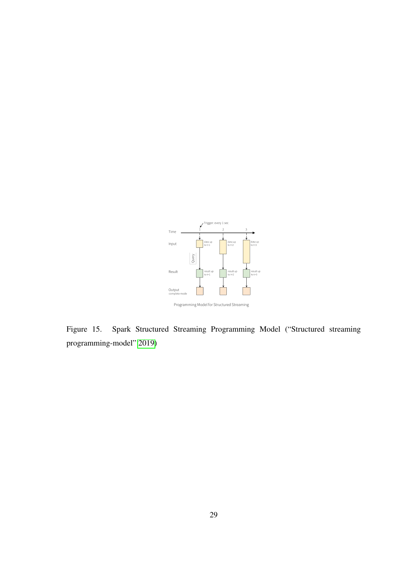

<span id="page-33-0"></span>Figure 15. Spark Structured Streaming Programming Model ("Structured streaming programming-model" [2019\)](#page-46-0)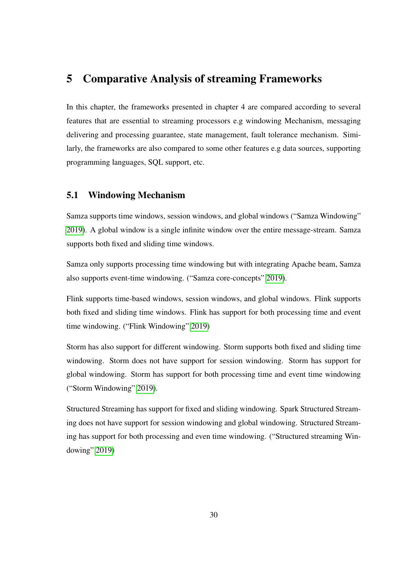# <span id="page-34-0"></span>5 Comparative Analysis of streaming Frameworks

In this chapter, the frameworks presented in chapter 4 are compared according to several features that are essential to streaming processors e.g windowing Mechanism, messaging delivering and processing guarantee, state management, fault tolerance mechanism. Similarly, the frameworks are also compared to some other features e.g data sources, supporting programming languages, SQL support, etc.

### <span id="page-34-1"></span>5.1 Windowing Mechanism

Samza supports time windows, session windows, and global windows ("Samza Windowing" [2019\)](#page-45-6). A global window is a single infinite window over the entire message-stream. Samza supports both fixed and sliding time windows.

Samza only supports processing time windowing but with integrating Apache beam, Samza also supports event-time windowing. ("Samza core-concepts" [2019\)](#page-45-7).

Flink supports time-based windows, session windows, and global windows. Flink supports both fixed and sliding time windows. Flink has support for both processing time and event time windowing. ("Flink Windowing" [2019\)](#page-44-10)

Storm has also support for different windowing. Storm supports both fixed and sliding time windowing. Storm does not have support for session windowing. Storm has support for global windowing. Storm has support for both processing time and event time windowing ("Storm Windowing" [2019\)](#page-46-2).

Structured Streaming has support for fixed and sliding windowing. Spark Structured Streaming does not have support for session windowing and global windowing. Structured Streaming has support for both processing and even time windowing. ("Structured streaming Windowing" [2019\)](#page-46-3)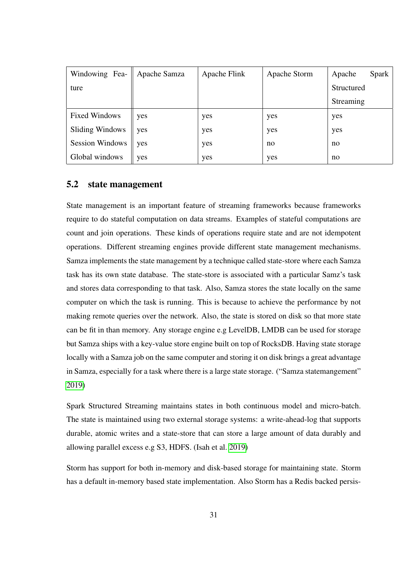| Windowing Fea-         | Apache Samza | Apache Flink | Apache Storm | Spark<br>Apache |
|------------------------|--------------|--------------|--------------|-----------------|
| ture                   |              |              |              | Structured      |
|                        |              |              |              | Streaming       |
| <b>Fixed Windows</b>   | yes          | yes          | yes          | yes             |
| <b>Sliding Windows</b> | yes          | yes          | yes          | yes             |
| <b>Session Windows</b> | yes          | yes          | no           | no              |
| Global windows         | yes          | yes          | yes          | no              |

## <span id="page-35-0"></span>5.2 state management

State management is an important feature of streaming frameworks because frameworks require to do stateful computation on data streams. Examples of stateful computations are count and join operations. These kinds of operations require state and are not idempotent operations. Different streaming engines provide different state management mechanisms. Samza implements the state management by a technique called state-store where each Samza task has its own state database. The state-store is associated with a particular Samz's task and stores data corresponding to that task. Also, Samza stores the state locally on the same computer on which the task is running. This is because to achieve the performance by not making remote queries over the network. Also, the state is stored on disk so that more state can be fit in than memory. Any storage engine e.g LevelDB, LMDB can be used for storage but Samza ships with a key-value store engine built on top of RocksDB. Having state storage locally with a Samza job on the same computer and storing it on disk brings a great advantage in Samza, especially for a task where there is a large state storage. ("Samza statemangement" [2019\)](#page-45-8)

Spark Structured Streaming maintains states in both continuous model and micro-batch. The state is maintained using two external storage systems: a write-ahead-log that supports durable, atomic writes and a state-store that can store a large amount of data durably and allowing parallel excess e.g S3, HDFS. (Isah et al. [2019\)](#page-44-11)

Storm has support for both in-memory and disk-based storage for maintaining state. Storm has a default in-memory based state implementation. Also Storm has a Redis backed persis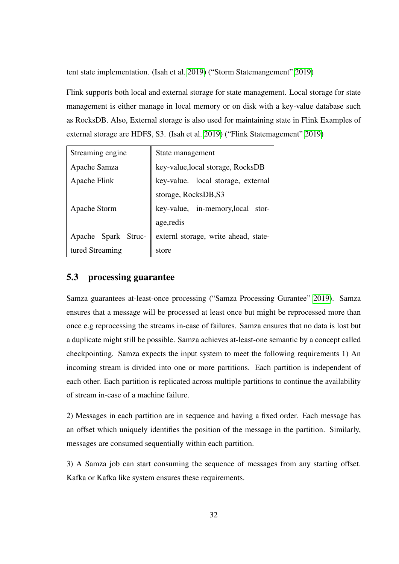tent state implementation. (Isah et al. [2019\)](#page-44-11) ("Storm Statemangement" [2019\)](#page-46-4)

Flink supports both local and external storage for state management. Local storage for state management is either manage in local memory or on disk with a key-value database such as RocksDB. Also, External storage is also used for maintaining state in Flink Examples of external storage are HDFS, S3. (Isah et al. [2019\)](#page-44-11) ("Flink Statemagement" [2019\)](#page-43-7)

| Streaming engine    | State management                     |  |  |
|---------------------|--------------------------------------|--|--|
| Apache Samza        | key-value, local storage, RocksDB    |  |  |
| Apache Flink        | key-value. local storage, external   |  |  |
|                     | storage, RocksDB, S3                 |  |  |
| Apache Storm        | key-value, in-memory, local stor-    |  |  |
|                     | age, redis                           |  |  |
| Apache Spark Struc- | externl storage, write ahead, state- |  |  |
| tured Streaming     | store                                |  |  |

# <span id="page-36-0"></span>5.3 processing guarantee

Samza guarantees at-least-once processing ("Samza Processing Gurantee" [2019\)](#page-45-9). Samza ensures that a message will be processed at least once but might be reprocessed more than once e.g reprocessing the streams in-case of failures. Samza ensures that no data is lost but a duplicate might still be possible. Samza achieves at-least-one semantic by a concept called checkpointing. Samza expects the input system to meet the following requirements 1) An incoming stream is divided into one or more partitions. Each partition is independent of each other. Each partition is replicated across multiple partitions to continue the availability of stream in-case of a machine failure.

2) Messages in each partition are in sequence and having a fixed order. Each message has an offset which uniquely identifies the position of the message in the partition. Similarly, messages are consumed sequentially within each partition.

3) A Samza job can start consuming the sequence of messages from any starting offset. Kafka or Kafka like system ensures these requirements.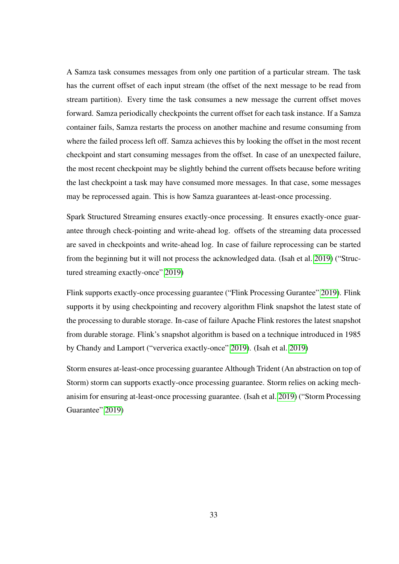A Samza task consumes messages from only one partition of a particular stream. The task has the current offset of each input stream (the offset of the next message to be read from stream partition). Every time the task consumes a new message the current offset moves forward. Samza periodically checkpoints the current offset for each task instance. If a Samza container fails, Samza restarts the process on another machine and resume consuming from where the failed process left off. Samza achieves this by looking the offset in the most recent checkpoint and start consuming messages from the offset. In case of an unexpected failure, the most recent checkpoint may be slightly behind the current offsets because before writing the last checkpoint a task may have consumed more messages. In that case, some messages may be reprocessed again. This is how Samza guarantees at-least-once processing.

Spark Structured Streaming ensures exactly-once processing. It ensures exactly-once guarantee through check-pointing and write-ahead log. offsets of the streaming data processed are saved in checkpoints and write-ahead log. In case of failure reprocessing can be started from the beginning but it will not process the acknowledged data. (Isah et al. [2019\)](#page-44-11) ("Structured streaming exactly-once" [2019\)](#page-46-5)

Flink supports exactly-once processing guarantee ("Flink Processing Gurantee" [2019\)](#page-43-8). Flink supports it by using checkpointing and recovery algorithm Flink snapshot the latest state of the processing to durable storage. In-case of failure Apache Flink restores the latest snapshot from durable storage. Flink's snapshot algorithm is based on a technique introduced in 1985 by Chandy and Lamport ("ververica exactly-once" [2019\)](#page-46-6). (Isah et al. [2019\)](#page-44-11)

Storm ensures at-least-once processing guarantee Although Trident (An abstraction on top of Storm) storm can supports exactly-once processing guarantee. Storm relies on acking mechanisim for ensuring at-least-once processing guarantee. (Isah et al. [2019\)](#page-44-11) ("Storm Processing Guarantee" [2019\)](#page-46-7)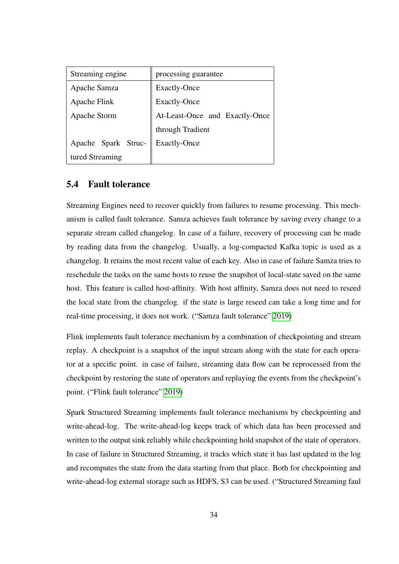| Streaming engine    | processing guarantee           |  |
|---------------------|--------------------------------|--|
| Apache Samza        | <b>Exactly-Once</b>            |  |
| Apache Flink        | <b>Exactly-Once</b>            |  |
| Apache Storm        | At-Least-Once and Exactly-Once |  |
|                     | through Tradient               |  |
| Apache Spark Struc- | <b>Exactly-Once</b>            |  |
| tured Streaming     |                                |  |

# <span id="page-38-0"></span>5.4 Fault tolerance

Streaming Engines need to recover quickly from failures to resume processing. This mechanism is called fault tolerance. Samza achieves fault tolerance by saving every change to a separate stream called changelog. In case of a failure, recovery of processing can be made by reading data from the changelog. Usually, a log-compacted Kafka topic is used as a changelog. It retains the most recent value of each key. Also in case of failure Samza tries to reschedule the tasks on the same hosts to reuse the snapshot of local-state saved on the same host. This feature is called host-affinity. With host affinity, Samza does not need to reseed the local state from the changelog. if the state is large reseed can take a long time and for real-time processing, it does not work. ("Samza fault tolerance" [2019\)](#page-45-10)

Flink implements fault tolerance mechanism by a combination of checkpointing and stream replay. A checkpoint is a snapshot of the input stream along with the state for each operator at a specific point. in case of failure, streaming data flow can be reprocessed from the checkpoint by restoring the state of operators and replaying the events from the checkpoint's point. ("Flink fault tolerance" [2019\)](#page-43-9)

Spark Structured Streaming implements fault tolerance mechanisms by checkpointing and write-ahead-log. The write-ahead-log keeps track of which data has been processed and written to the output sink reliably while checkpointing hold snapshot of the state of operators. In case of failure in Structured Streaming, it tracks which state it has last updated in the log and recomputes the state from the data starting from that place. Both for checkpointing and write-ahead-log external storage such as HDFS, S3 can be used. ("Structured Streaming faul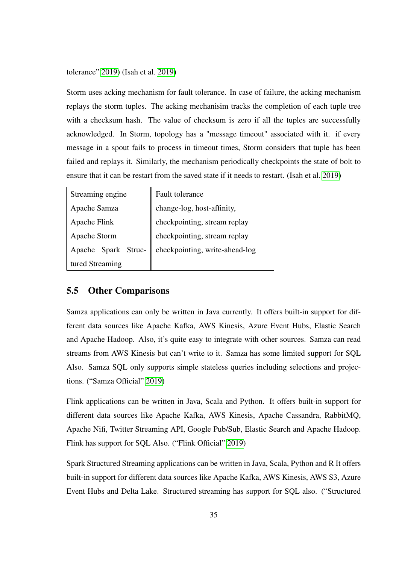tolerance" [2019\)](#page-46-8) (Isah et al. [2019\)](#page-44-11)

Storm uses acking mechanism for fault tolerance. In case of failure, the acking mechanism replays the storm tuples. The acking mechanisim tracks the completion of each tuple tree with a checksum hash. The value of checksum is zero if all the tuples are successfully acknowledged. In Storm, topology has a "message timeout" associated with it. if every message in a spout fails to process in timeout times, Storm considers that tuple has been failed and replays it. Similarly, the mechanism periodically checkpoints the state of bolt to ensure that it can be restart from the saved state if it needs to restart. (Isah et al. [2019\)](#page-44-11)

| Streaming engine    | Fault tolerance                |
|---------------------|--------------------------------|
| Apache Samza        | change-log, host-affinity,     |
| Apache Flink        | checkpointing, stream replay   |
| Apache Storm        | checkpointing, stream replay   |
| Apache Spark Struc- | checkpointing, write-ahead-log |
| tured Streaming     |                                |

## <span id="page-39-0"></span>5.5 Other Comparisons

Samza applications can only be written in Java currently. It offers built-in support for different data sources like Apache Kafka, AWS Kinesis, Azure Event Hubs, Elastic Search and Apache Hadoop. Also, it's quite easy to integrate with other sources. Samza can read streams from AWS Kinesis but can't write to it. Samza has some limited support for SQL Also. Samza SQL only supports simple stateless queries including selections and projections. ("Samza Official" [2019\)](#page-45-0)

Flink applications can be written in Java, Scala and Python. It offers built-in support for different data sources like Apache Kafka, AWS Kinesis, Apache Cassandra, RabbitMQ, Apache Nifi, Twitter Streaming API, Google Pub/Sub, Elastic Search and Apache Hadoop. Flink has support for SQL Also. ("Flink Official" [2019\)](#page-43-10)

Spark Structured Streaming applications can be written in Java, Scala, Python and R It offers built-in support for different data sources like Apache Kafka, AWS Kinesis, AWS S3, Azure Event Hubs and Delta Lake. Structured streaming has support for SQL also. ("Structured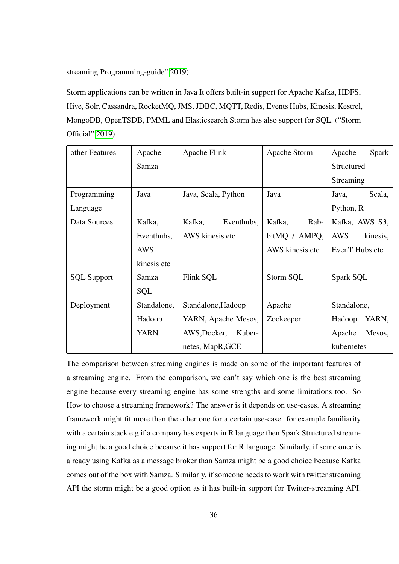streaming Programming-guide" [2019\)](#page-46-9)

Storm applications can be written in Java It offers built-in support for Apache Kafka, HDFS, Hive, Solr, Cassandra, RocketMQ, JMS, JDBC, MQTT, Redis, Events Hubs, Kinesis, Kestrel, MongoDB, OpenTSDB, PMML and Elasticsearch Storm has also support for SQL. ("Storm Official" [2019\)](#page-45-1)

| other Features     | Apache      | Apache Flink           | Apache Storm    | Apache<br><b>Spark</b> |
|--------------------|-------------|------------------------|-----------------|------------------------|
|                    | Samza       |                        |                 | Structured             |
|                    |             |                        |                 | Streaming              |
| Programming        | Java        | Java, Scala, Python    | Java            | Scala,<br>Java,        |
| Language           |             |                        |                 | Python, R              |
| Data Sources       | Kafka,      | Kafka,<br>Eventhubs,   | Kafka,<br>Rab-  | Kafka, AWS S3,         |
|                    | Eventhubs,  | AWS kinesis etc        | bitMQ / AMPQ,   | <b>AWS</b><br>kinesis, |
|                    | <b>AWS</b>  |                        | AWS kinesis etc | EvenT Hubs etc         |
|                    | kinesis etc |                        |                 |                        |
| <b>SQL Support</b> | Samza       | Flink SQL              | Storm SQL       | Spark SQL              |
|                    | <b>SQL</b>  |                        |                 |                        |
| Deployment         | Standalone, | Standalone, Hadoop     | Apache          | Standalone,            |
|                    | Hadoop      | YARN, Apache Mesos,    | Zookeeper       | Hadoop<br>YARN,        |
|                    | <b>YARN</b> | AWS, Docker,<br>Kuber- |                 | Mesos,<br>Apache       |
|                    |             | netes, MapR, GCE       |                 | kubernetes             |

The comparison between streaming engines is made on some of the important features of a streaming engine. From the comparison, we can't say which one is the best streaming engine because every streaming engine has some strengths and some limitations too. So How to choose a streaming framework? The answer is it depends on use-cases. A streaming framework might fit more than the other one for a certain use-case. for example familiarity with a certain stack e.g if a company has experts in R language then Spark Structured streaming might be a good choice because it has support for R language. Similarly, if some once is already using Kafka as a message broker than Samza might be a good choice because Kafka comes out of the box with Samza. Similarly, if someone needs to work with twitter streaming API the storm might be a good option as it has built-in support for Twitter-streaming API.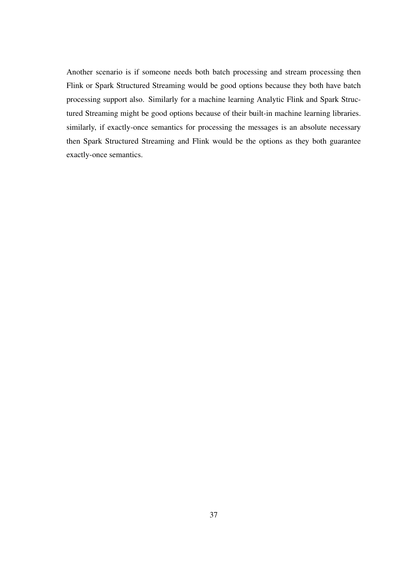Another scenario is if someone needs both batch processing and stream processing then Flink or Spark Structured Streaming would be good options because they both have batch processing support also. Similarly for a machine learning Analytic Flink and Spark Structured Streaming might be good options because of their built-in machine learning libraries. similarly, if exactly-once semantics for processing the messages is an absolute necessary then Spark Structured Streaming and Flink would be the options as they both guarantee exactly-once semantics.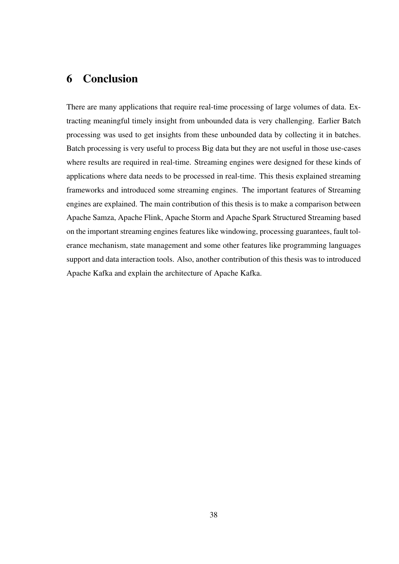# <span id="page-42-0"></span>6 Conclusion

There are many applications that require real-time processing of large volumes of data. Extracting meaningful timely insight from unbounded data is very challenging. Earlier Batch processing was used to get insights from these unbounded data by collecting it in batches. Batch processing is very useful to process Big data but they are not useful in those use-cases where results are required in real-time. Streaming engines were designed for these kinds of applications where data needs to be processed in real-time. This thesis explained streaming frameworks and introduced some streaming engines. The important features of Streaming engines are explained. The main contribution of this thesis is to make a comparison between Apache Samza, Apache Flink, Apache Storm and Apache Spark Structured Streaming based on the important streaming engines features like windowing, processing guarantees, fault tolerance mechanism, state management and some other features like programming languages support and data interaction tools. Also, another contribution of this thesis was to introduced Apache Kafka and explain the architecture of Apache Kafka.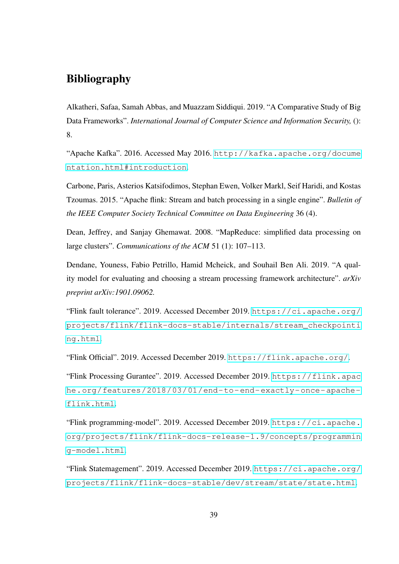# Bibliography

<span id="page-43-5"></span><span id="page-43-2"></span>Alkatheri, Safaa, Samah Abbas, and Muazzam Siddiqui. 2019. "A Comparative Study of Big Data Frameworks". *International Journal of Computer Science and Information Security,* (): 8.

<span id="page-43-0"></span>"Apache Kafka". 2016. Accessed May 2016. [http://kafka.apache.org/docume](http://kafka.apache.org/documentation.html#introduction) [ntation.html#introduction](http://kafka.apache.org/documentation.html#introduction).

<span id="page-43-6"></span>Carbone, Paris, Asterios Katsifodimos, Stephan Ewen, Volker Markl, Seif Haridi, and Kostas Tzoumas. 2015. "Apache flink: Stream and batch processing in a single engine". *Bulletin of the IEEE Computer Society Technical Committee on Data Engineering* 36 (4).

<span id="page-43-3"></span>Dean, Jeffrey, and Sanjay Ghemawat. 2008. "MapReduce: simplified data processing on large clusters". *Communications of the ACM* 51 (1): 107–113.

<span id="page-43-4"></span>Dendane, Youness, Fabio Petrillo, Hamid Mcheick, and Souhail Ben Ali. 2019. "A quality model for evaluating and choosing a stream processing framework architecture". *arXiv preprint arXiv:1901.09062.*

<span id="page-43-9"></span>"Flink fault tolerance". 2019. Accessed December 2019. [https://ci.apache.org/](https://ci.apache.org/projects/flink/flink-docs-stable/internals/stream_checkpointing.html) [projects/flink/flink-docs-stable/internals/stream\\_checkpointi](https://ci.apache.org/projects/flink/flink-docs-stable/internals/stream_checkpointing.html) [ng.html](https://ci.apache.org/projects/flink/flink-docs-stable/internals/stream_checkpointing.html).

<span id="page-43-10"></span>"Flink Official". 2019. Accessed December 2019. <https://flink.apache.org/>.

<span id="page-43-8"></span>"Flink Processing Gurantee". 2019. Accessed December 2019. [https://flink.apac](https://flink.apache.org/features/2018/03/01/end-to-end-exactly-once-apache-flink.html) [he.org/features/2018/03/01/end-to-end-exactly-once-apache](https://flink.apache.org/features/2018/03/01/end-to-end-exactly-once-apache-flink.html)[flink.html](https://flink.apache.org/features/2018/03/01/end-to-end-exactly-once-apache-flink.html).

<span id="page-43-1"></span>"Flink programming-model". 2019. Accessed December 2019. [https://ci.apache.](https://ci.apache.org/projects/flink/flink-docs-release-1.9/concepts/programming-model.html) [org/projects/flink/flink-docs-release-1.9/concepts/programmin](https://ci.apache.org/projects/flink/flink-docs-release-1.9/concepts/programming-model.html) [g-model.html](https://ci.apache.org/projects/flink/flink-docs-release-1.9/concepts/programming-model.html).

<span id="page-43-7"></span>"Flink Statemagement". 2019. Accessed December 2019. [https://ci.apache.org/](https://ci.apache.org/projects/flink/flink-docs-stable/dev/stream/state/state.html) [projects/flink/flink-docs-stable/dev/stream/state/state.html](https://ci.apache.org/projects/flink/flink-docs-stable/dev/stream/state/state.html).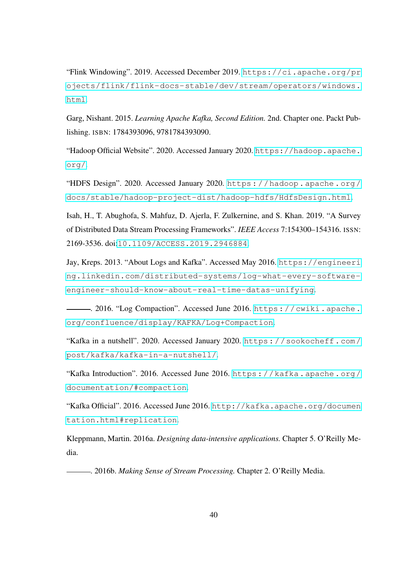<span id="page-44-10"></span>"Flink Windowing". 2019. Accessed December 2019. [https://ci.apache.org/pr](https://ci.apache.org/projects/flink/flink-docs-stable/dev/stream/operators/windows.html) [ojects/flink/flink-docs-stable/dev/stream/operators/windows.](https://ci.apache.org/projects/flink/flink-docs-stable/dev/stream/operators/windows.html) [html](https://ci.apache.org/projects/flink/flink-docs-stable/dev/stream/operators/windows.html).

<span id="page-44-5"></span>Garg, Nishant. 2015. *Learning Apache Kafka, Second Edition.* 2nd. Chapter one. Packt Publishing. ISBN: 1784393096, 9781784393090.

<span id="page-44-1"></span>"Hadoop Official Website". 2020. Accessed January 2020. [https://hadoop.apache.](https://hadoop.apache.org/) [org/](https://hadoop.apache.org/).

<span id="page-44-2"></span>"HDFS Design". 2020. Accessed January 2020. [https : / / hadoop . apache . org /](https://hadoop.apache.org/docs/stable/hadoop-project-dist/hadoop-hdfs/HdfsDesign.html) [docs/stable/hadoop-project-dist/hadoop-hdfs/HdfsDesign.html](https://hadoop.apache.org/docs/stable/hadoop-project-dist/hadoop-hdfs/HdfsDesign.html).

<span id="page-44-11"></span>Isah, H., T. Abughofa, S. Mahfuz, D. Ajerla, F. Zulkernine, and S. Khan. 2019. "A Survey of Distributed Data Stream Processing Frameworks". *IEEE Access* 7:154300–154316. ISSN: 2169-3536. doi:[10.1109/ACCESS.2019.2946884](http://dx.doi.org/10.1109/ACCESS.2019.2946884).

<span id="page-44-3"></span>Jay, Kreps. 2013. "About Logs and Kafka". Accessed May 2016. [https://engineeri](https://engineering.linkedin.com/distributed-systems/log-what-every-software-engineer-should-know-about-real-time-datas-unifying) [ng.linkedin.com/distributed-systems/log-what-every-software](https://engineering.linkedin.com/distributed-systems/log-what-every-software-engineer-should-know-about-real-time-datas-unifying)[engineer-should-know-about-real-time-datas-unifying](https://engineering.linkedin.com/distributed-systems/log-what-every-software-engineer-should-know-about-real-time-datas-unifying).

<span id="page-44-8"></span>. 2016. "Log Compaction". Accessed June 2016. [https://cwiki.apache.](https://cwiki.apache.org/confluence/display/KAFKA/Log+Compaction) [org/confluence/display/KAFKA/Log+Compaction](https://cwiki.apache.org/confluence/display/KAFKA/Log+Compaction).

<span id="page-44-0"></span>"Kafka in a nutshell". 2020. Accessed January 2020. [https://sookocheff.com/](https://sookocheff.com/post/kafka/kafka-in-a-nutshell/) [post/kafka/kafka-in-a-nutshell/](https://sookocheff.com/post/kafka/kafka-in-a-nutshell/).

<span id="page-44-9"></span>"Kafka Introduction". 2016. Accessed June 2016. [https://kafka.apache.org/](https://kafka.apache.org/documentation/#compaction) [documentation/#compaction](https://kafka.apache.org/documentation/#compaction).

<span id="page-44-7"></span>"Kafka Official". 2016. Accessed June 2016. [http://kafka.apache.org/documen](http://kafka.apache.org/documentation.html#replication) [tation.html#replication](http://kafka.apache.org/documentation.html#replication).

<span id="page-44-6"></span>Kleppmann, Martin. 2016a. *Designing data-intensive applications.* Chapter 5. O'Reilly Media.

<span id="page-44-4"></span>. 2016b. *Making Sense of Stream Processing.* Chapter 2. O'Reilly Media.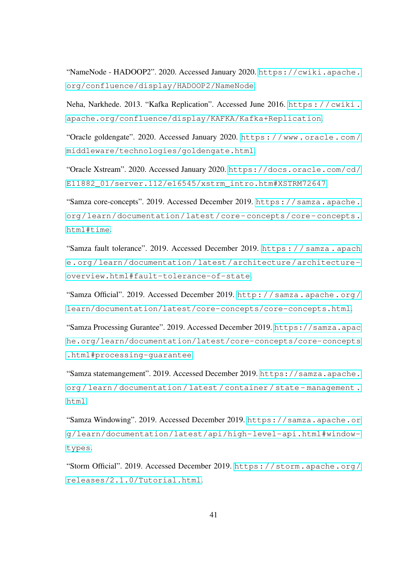<span id="page-45-2"></span>"NameNode - HADOOP2". 2020. Accessed January 2020. [https://cwiki.apache.](https://cwiki.apache.org/confluence/display/HADOOP2/NameNode) [org/confluence/display/HADOOP2/NameNode](https://cwiki.apache.org/confluence/display/HADOOP2/NameNode).

<span id="page-45-5"></span>Neha, Narkhede. 2013. "Kafka Replication". Accessed June 2016. [https : / / cwiki .](https://cwiki.apache.org/confluence/display/KAFKA/Kafka+Replication) [apache.org/confluence/display/KAFKA/Kafka+Replication](https://cwiki.apache.org/confluence/display/KAFKA/Kafka+Replication).

<span id="page-45-4"></span>"Oracle goldengate". 2020. Accessed January 2020. [https : / / www . oracle . com /](https://www.oracle.com/middleware/technologies/goldengate.html) [middleware/technologies/goldengate.html](https://www.oracle.com/middleware/technologies/goldengate.html).

<span id="page-45-3"></span>"Oracle Xstream". 2020. Accessed January 2020. [https://docs.oracle.com/cd/](https://docs.oracle.com/cd/E11882_01/server.112/e16545/xstrm_intro.htm#XSTRM72647) [E11882\\_01/server.112/e16545/xstrm\\_intro.htm#XSTRM72647](https://docs.oracle.com/cd/E11882_01/server.112/e16545/xstrm_intro.htm#XSTRM72647).

<span id="page-45-7"></span>"Samza core-concepts". 2019. Accessed December 2019. [https://samza.apache.](https://samza.apache.org/learn/documentation/latest/core-concepts/core-concepts.html#time) [org/learn/documentation/latest/core- concepts/core- concepts.](https://samza.apache.org/learn/documentation/latest/core-concepts/core-concepts.html#time) [html#time](https://samza.apache.org/learn/documentation/latest/core-concepts/core-concepts.html#time).

<span id="page-45-10"></span>"Samza fault tolerance". 2019. Accessed December 2019. https://samza.apach [e.org/learn/documentation/latest/architecture/architecture](https://samza.apache.org/learn/documentation/latest/architecture/architecture-overview.html#fault-tolerance-of-state)[overview.html#fault-tolerance-of-state](https://samza.apache.org/learn/documentation/latest/architecture/architecture-overview.html#fault-tolerance-of-state).

<span id="page-45-0"></span>"Samza Official". 2019. Accessed December 2019. [http://samza.apache.org/](http://samza.apache.org/learn/documentation/latest/core-concepts/core-concepts.html) [learn/documentation/latest/core-concepts/core-concepts.html](http://samza.apache.org/learn/documentation/latest/core-concepts/core-concepts.html).

<span id="page-45-9"></span>"Samza Processing Gurantee". 2019. Accessed December 2019. [https://samza.apac](https://samza.apache.org/learn/documentation/latest/core-concepts/core-concepts.html#processing-guarantee) [he.org/learn/documentation/latest/core-concepts/core-concepts](https://samza.apache.org/learn/documentation/latest/core-concepts/core-concepts.html#processing-guarantee) [.html#processing-guarantee](https://samza.apache.org/learn/documentation/latest/core-concepts/core-concepts.html#processing-guarantee).

<span id="page-45-8"></span>"Samza statemangement". 2019. Accessed December 2019. [https://samza.apache.](https://samza.apache.org/learn/documentation/latest/container/state-management.html) [org / learn / documentation / latest / container / state - management .](https://samza.apache.org/learn/documentation/latest/container/state-management.html) [html](https://samza.apache.org/learn/documentation/latest/container/state-management.html).

<span id="page-45-6"></span>"Samza Windowing". 2019. Accessed December 2019. [https://samza.apache.or](https://samza.apache.org/learn/documentation/latest/api/high-level-api.html#window-types) [g/learn/documentation/latest/api/high-level-api.html#window](https://samza.apache.org/learn/documentation/latest/api/high-level-api.html#window-types)[types](https://samza.apache.org/learn/documentation/latest/api/high-level-api.html#window-types).

<span id="page-45-1"></span>"Storm Official". 2019. Accessed December 2019. [https://storm.apache.org/](https://storm.apache.org/releases/2.1.0/Tutorial.html) [releases/2.1.0/Tutorial.html](https://storm.apache.org/releases/2.1.0/Tutorial.html).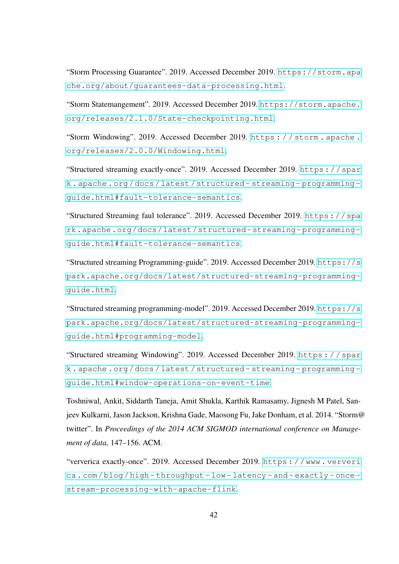<span id="page-46-7"></span>"Storm Processing Guarantee". 2019. Accessed December 2019. [https://storm.apa](https://storm.apache.org/about/guarantees-data-processing.html) [che.org/about/guarantees-data-processing.html](https://storm.apache.org/about/guarantees-data-processing.html).

<span id="page-46-4"></span>"Storm Statemangement". 2019. Accessed December 2019. [https://storm.apache.](https://storm.apache.org/releases/2.1.0/State-checkpointing.html) [org/releases/2.1.0/State-checkpointing.html](https://storm.apache.org/releases/2.1.0/State-checkpointing.html).

<span id="page-46-2"></span>"Storm Windowing". 2019. Accessed December 2019. [https : / / storm . apache .](https://storm.apache.org/releases/2.0.0/Windowing.html) [org/releases/2.0.0/Windowing.html](https://storm.apache.org/releases/2.0.0/Windowing.html).

<span id="page-46-5"></span>"Structured streaming exactly-once". 2019. Accessed December 2019. [https://spar](https://spark.apache.org/docs/latest/structured-streaming-programming-guide.html#fault-tolerance-semantics) [k . apache . org / docs / latest / structured - streaming - programming](https://spark.apache.org/docs/latest/structured-streaming-programming-guide.html#fault-tolerance-semantics)  [guide.html#fault-tolerance-semantics](https://spark.apache.org/docs/latest/structured-streaming-programming-guide.html#fault-tolerance-semantics).

<span id="page-46-8"></span>"Structured Streaming faul tolerance". 2019. Accessed December 2019. [https://spa](https://spark.apache.org/docs/latest/structured-streaming-programming-guide.html#fault-tolerance-semantics) [rk.apache.org/docs/latest/structured- streaming- programming](https://spark.apache.org/docs/latest/structured-streaming-programming-guide.html#fault-tolerance-semantics)[guide.html#fault-tolerance-semantics](https://spark.apache.org/docs/latest/structured-streaming-programming-guide.html#fault-tolerance-semantics).

<span id="page-46-9"></span>"Structured streaming Programming-guide". 2019. Accessed December 2019. [https://s](https://spark.apache.org/docs/latest/structured-streaming-programming-guide.html) [park.apache.org/docs/latest/structured-streaming-programming](https://spark.apache.org/docs/latest/structured-streaming-programming-guide.html)[guide.html](https://spark.apache.org/docs/latest/structured-streaming-programming-guide.html).

<span id="page-46-0"></span>"Structured streaming programming-model". 2019. Accessed December 2019. [https://s](https://spark.apache.org/docs/latest/structured-streaming-programming-guide.html#programming-model) [park.apache.org/docs/latest/structured-streaming-programming](https://spark.apache.org/docs/latest/structured-streaming-programming-guide.html#programming-model)[guide.html#programming-model](https://spark.apache.org/docs/latest/structured-streaming-programming-guide.html#programming-model).

<span id="page-46-3"></span>"Structured streaming Windowing". 2019. Accessed December 2019. [https : / / spar](https://spark.apache.org/docs/latest/structured-streaming-programming-guide.html#window-operations-on-event-time) [k . apache . org / docs / latest / structured - streaming - programming](https://spark.apache.org/docs/latest/structured-streaming-programming-guide.html#window-operations-on-event-time)  [guide.html#window-operations-on-event-time](https://spark.apache.org/docs/latest/structured-streaming-programming-guide.html#window-operations-on-event-time).

<span id="page-46-1"></span>Toshniwal, Ankit, Siddarth Taneja, Amit Shukla, Karthik Ramasamy, Jignesh M Patel, Sanjeev Kulkarni, Jason Jackson, Krishna Gade, Maosong Fu, Jake Donham, et al. 2014. "Storm@ twitter". In *Proceedings of the 2014 ACM SIGMOD international conference on Management of data,* 147–156. ACM.

<span id="page-46-6"></span>"ververica exactly-once". 2019. Accessed December 2019. [https : / / www . ververi](https://www.ververica.com/blog/high-throughput-low-latency-and-exactly-once-stream-processing-with-apache-flink) [ca.com/blog/high- throughput- low- latency- and- exactly- once](https://www.ververica.com/blog/high-throughput-low-latency-and-exactly-once-stream-processing-with-apache-flink)[stream-processing-with-apache-flink](https://www.ververica.com/blog/high-throughput-low-latency-and-exactly-once-stream-processing-with-apache-flink).